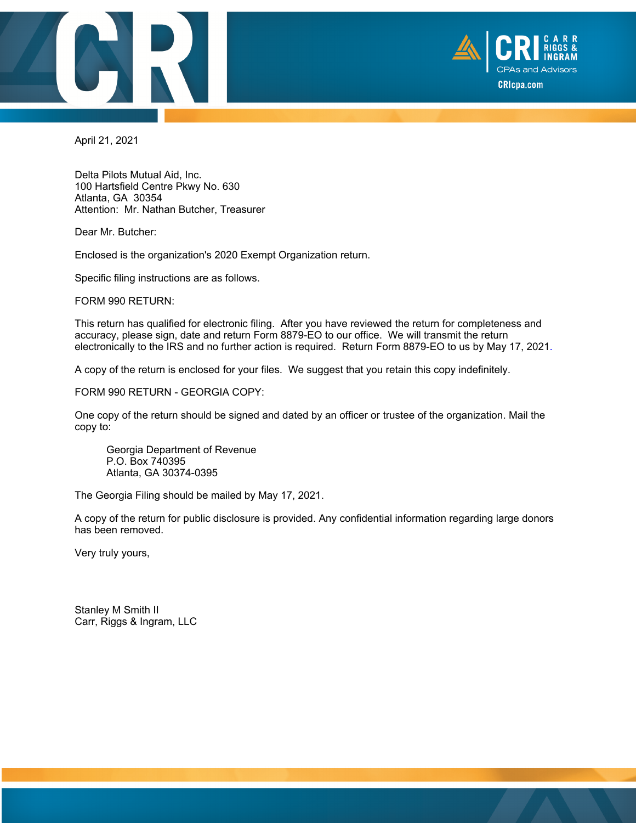



April 21, 2021

Delta Pilots Mutual Aid, Inc. 100 Hartsfield Centre Pkwy No. 630 Atlanta, GA 30354 Attention: Mr. Nathan Butcher, Treasurer

Dear Mr. Butcher:

Enclosed is the organization's 2020 Exempt Organization return.

Specific filing instructions are as follows.

FORM 990 RETURN:

This return has qualified for electronic filing. After you have reviewed the return for completeness and accuracy, please sign, date and return Form 8879-EO to our office. We will transmit the return electronically to the IRS and no further action is required. Return Form 8879-EO to us by May 17, 2021.

A copy of the return is enclosed for your files. We suggest that you retain this copy indefinitely.

FORM 990 RETURN - GEORGIA COPY:

One copy of the return should be signed and dated by an officer or trustee of the organization. Mail the copy to:

 Georgia Department of Revenue P.O. Box 740395 Atlanta, GA 30374-0395

The Georgia Filing should be mailed by May 17, 2021.

A copy of the return for public disclosure is provided. Any confidential information regarding large donors has been removed.

Very truly yours,

Stanley M Smith II Carr, Riggs & Ingram, LLC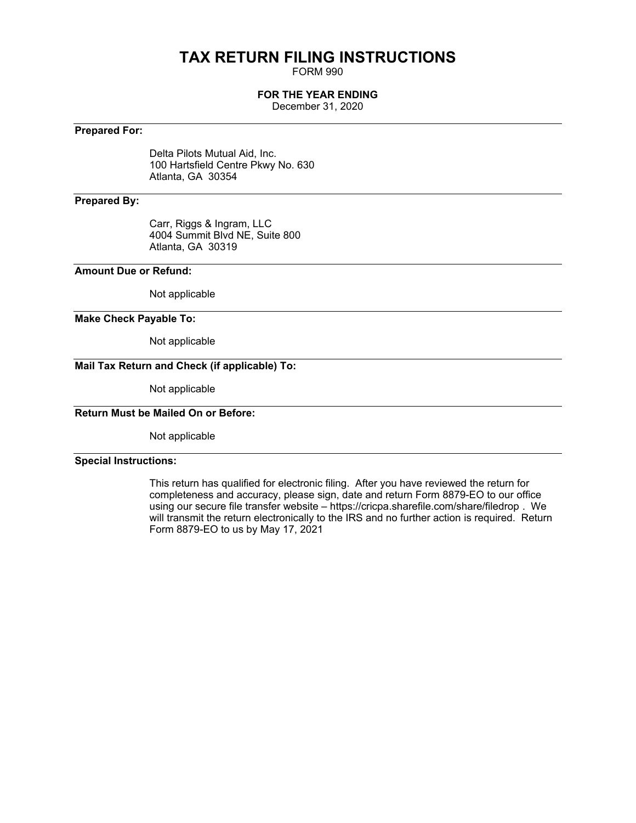# **TAX RETURN FILING INSTRUCTIONS**

FORM 990

### **FOR THE YEAR ENDING**

December 31, 2020

## **Prepared For:**

Delta Pilots Mutual Aid, Inc. 100 Hartsfield Centre Pkwy No. 630 Atlanta, GA 30354

## **Prepared By:**

Carr, Riggs & Ingram, LLC 4004 Summit Blvd NE, Suite 800 Atlanta, GA 30319

### **Amount Due or Refund:**

Not applicable

### **Make Check Payable To:**

Not applicable

# **Mail Tax Return and Check (if applicable) To:**

Not applicable

### **Return Must be Mailed On or Before:**

Not applicable

### **Special Instructions:**

This return has qualified for electronic filing. After you have reviewed the return for completeness and accuracy, please sign, date and return Form 8879-EO to our office using our secure file transfer website – <https://cricpa.sharefile.com/share/filedrop> . We will transmit the return electronically to the IRS and no further action is required. Return Form 8879-EO to us by May 17, 2021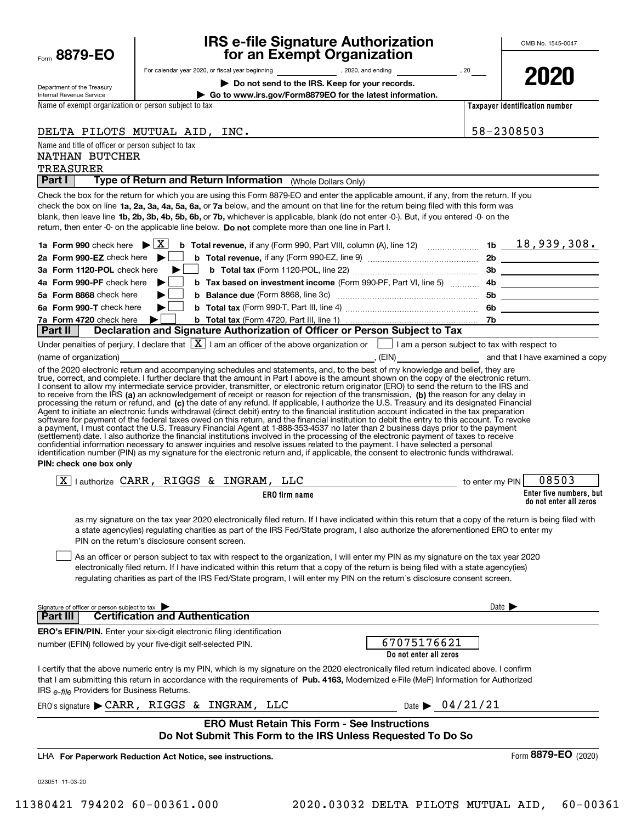|      | 8879-1<br>FΟ<br>J |  |
|------|-------------------|--|
| Form |                   |  |

# **IRS e-file Signature Authorization for an Exempt Organization**

**2020**

**Enter five numbers, but do not enter all zeros**

| Department of the Treasury |
|----------------------------|
| Internal Revenue Service   |

# For calendar year 2020, or fiscal year beginning and the set of the set of the set of the set of the set of the set of the set of the set of the set of the set of the set of the set of the set of the set of the set of the

**| Do not send to the IRS. Keep for your records.**

**| Go to www.irs.gov/Form8879EO for the latest information.**

**Taxpayer identification number**

Name of exempt organization or person subject to tax

**ERO firm name** check the box on line **1a, 2a, 3a, 4a, 5a, 6a,** or **7a** below, and the amount on that line for the return being filed with this form was blank, then leave line **1b, 2b, 3b, 4b, 5b, 6b, or 7b,** whichever is applicable, blank (do not enter -0-). But, if you entered -0- on the return, then enter -0- on the applicable line below. **Do not** complete more than one line in Part I. **1a Form 990 | b Total revenue, 1b** check here if any (Form 990, Part VIII, column (A), line 12) ~~~~~~~ X 18,939,308. **2a Form 990-EZ** check here ▶ □ **3aForm 1120-POL** check here **4aForm 990-PF** check here **5aForm 8868** check here **6aForm 990-T | <sup>b</sup> Total tax**  *Ta***Form 4720** check here  $\bullet$  **b Total tax 2b b Total revenue,**  if any (Form 990-EZ, line 9) ~~~~~~~~~~~~~~~ **3b b Total tax**  (Form 1120-POL, line 22) ~~~~~~~~~~~~~~~~~ **b b Tax based on investment income** (Form 990-PF, Part VI, line 5) **https://www.programmers. 5b b Balance due**  ~~~~~~~~~~~~~~~~~~~ (Form 8868, line 3c) **6b** check here (Form 990-T, Part III, line 4) ~~~~~~~~~~~~~~~~~~ **7b|||**to receive from the IRS **(a)** an acknowledgement of receipt or reason for rejection of the transmission, **(b)** the reason for any delay in processing the return or refund, and (**c)** the date of any refund. If applicable, I authorize the U.S. Treasury and its designated Financial **PIN: check one box only** Name and title of officer or person subject to tax **Part I** | Type of Return and Return Information (Whole Dollars Only) Check the box for the return for which you are using this Form 8879-EO and enter the applicable amount, if any, from the return. If you b Total tax (Form 4720, Part III, line 1) ............... Under penalties of perjury, I declare that  $[\![\boldsymbol{\mathbf{X}}]\!]$  I am an officer of the above organization or  $[\![\;]\!]$  I am a person subject to tax with respect to (name of organization) **(a)** and that I have examined a copy (FIN) and that I have examined a copy of the 2020 electronic return and accompanying schedules and statements, and, to the best of my knowledge and belief, they are true, correct, and complete. I further declare that the amount in Part I above is the amount shown on the copy of the electronic return. I consent to allow my intermediate service provider, transmitter, or electronic return originator (ERO) to send the return to the IRS and Agent to initiate an electronic funds withdrawal (direct debit) entry to the financial institution account indicated in the tax preparation<br>software for payment of the federal taxes owed on this return, and the financial i a payment, I must contact the U.S. Treasury Financial Agent at 1-888-353-4537 no later than 2 business days prior to the payment (settlement) date. I also authorize the financial institutions involved in the processing of the electronic payment of taxes to receive<br>confidential information necessary to answer inquiries and resolve issues related to t identification number (PIN) as my signature for the electronic return and, if applicable, the consent to electronic funds withdrawal.  $\boxed{\textbf{X}}$  | authorize CARR, RIGGS & INGRAM, LLC  $\boxed{\textbf{X}}$  | authorize CARR, RIGGS & INGRAM, LLC as my signature on the tax year 2020 electronically filed return. If I have indicated within this return that a copy of the return is being filed with a state agency(ies) regulating charities as part of the IRS Fed/State program, I also authorize the aforementioned ERO to enter my PIN on the return's disclosure consent screen. **Part II Declaration and Signature Authorization of Officer or Person Subject to Tax**  $\mathcal{L}^{\text{max}}$  $\mathcal{L}^{\text{max}}$  $\mathcal{L}^{\text{max}}$  $\mathcal{L}^{\text{max}}$ DELTA PILOTS MUTUAL AID, INC.  $|58-2308503|$ TREASURER NATHAN BUTCHER

As an officer or person subject to tax with respect to the organization, I will enter my PIN as my signature on the tax year 2020 electronically filed return. If I have indicated within this return that a copy of the return is being filed with a state agency(ies) regulating charities as part of the IRS Fed/State program, I will enter my PIN on the return's disclosure consent screen.  $\mathcal{L}^{\text{max}}$ 

| Signature of officer or person subject to tax                                                                                                                                                                                                                                                                                     | Date $\blacktriangleright$            |
|-----------------------------------------------------------------------------------------------------------------------------------------------------------------------------------------------------------------------------------------------------------------------------------------------------------------------------------|---------------------------------------|
| <b>Certification and Authentication</b><br>Part III                                                                                                                                                                                                                                                                               |                                       |
| <b>ERO's EFIN/PIN.</b> Enter your six-digit electronic filing identification                                                                                                                                                                                                                                                      |                                       |
| number (EFIN) followed by your five-digit self-selected PIN.                                                                                                                                                                                                                                                                      | 67075176621<br>Do not enter all zeros |
| I certify that the above numeric entry is my PIN, which is my signature on the 2020 electronically filed return indicated above. I confirm<br>that I am submitting this return in accordance with the requirements of Pub. 4163. Modernized e-File (MeF) Information for Authorized<br>IRS e-file Providers for Business Returns. |                                       |
| ERO's signature CARR, RIGGS & INGRAM, LLC                                                                                                                                                                                                                                                                                         | Date $\triangleright$ 04/21/21        |
| <b>ERO Must Retain This Form - See Instructions</b><br>Do Not Submit This Form to the IRS Unless Requested To Do So                                                                                                                                                                                                               |                                       |
| LHA For Paperwork Reduction Act Notice, see instructions.                                                                                                                                                                                                                                                                         | Form 8879-EO (2020)                   |

023051 11-03-20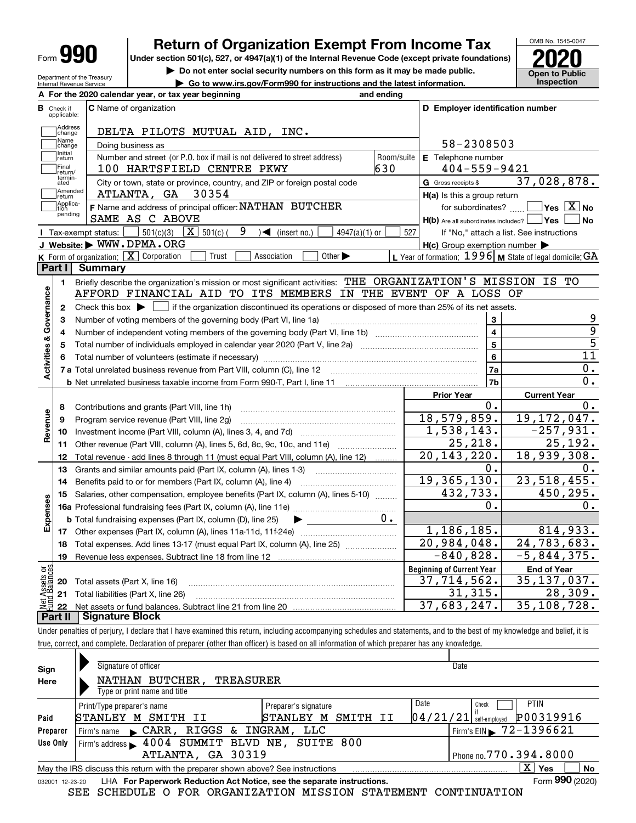| Form |  |
|------|--|
|------|--|

Department of the Treasury Internal Revenue Service

# **Return of Organization Exempt From Income Tax**

**Under section 501(c), 527, or 4947(a)(1) of the Internal Revenue Code (except private foundations) 2020**

**| Do not enter social security numbers on this form as it may be made public.**

**| Go to www.irs.gov/Form990 for instructions and the latest information. Inspection**



|                         |                         | A For the 2020 calendar year, or tax year beginning                                                                                                      | and ending |                                                     |                                                                |
|-------------------------|-------------------------|----------------------------------------------------------------------------------------------------------------------------------------------------------|------------|-----------------------------------------------------|----------------------------------------------------------------|
| В                       | Check if<br>applicable: | <b>C</b> Name of organization                                                                                                                            |            | D Employer identification number                    |                                                                |
|                         | Address<br>change       | DELTA PILOTS MUTUAL AID, INC.                                                                                                                            |            |                                                     |                                                                |
|                         | Name<br>change          | Doing business as                                                                                                                                        |            | 58-2308503                                          |                                                                |
|                         | Initial<br>return       | Number and street (or P.O. box if mail is not delivered to street address)                                                                               | Room/suite | E Telephone number                                  |                                                                |
|                         | Final<br>return/        | 100 HARTSFIELD CENTRE PKWY                                                                                                                               | 630        | $404 - 559 - 9421$                                  |                                                                |
|                         | termin-<br>ated         | City or town, state or province, country, and ZIP or foreign postal code                                                                                 |            | G Gross receipts \$                                 | 37,028,878.                                                    |
|                         | Amended<br>return       | 30354<br>ATLANTA, GA                                                                                                                                     |            | $H(a)$ is this a group return                       |                                                                |
|                         | Applica-<br>tion        | F Name and address of principal officer: NATHAN BUTCHER                                                                                                  |            | for subordinates?                                   | $\overline{\mathsf{Yes}\mathrel{\hspace{0.05cm}\mathbf{X}}$ No |
|                         | pending                 | SAME AS C ABOVE                                                                                                                                          |            | H(b) Are all subordinates included?   Yes           | No                                                             |
|                         |                         | 9<br>$501(c)(3)$ $\overline{X}$ 501(c) (<br>$\sqrt{\frac{1}{1}}$ (insert no.)<br>$4947(a)(1)$ or<br>Tax-exempt status:                                   | 527        |                                                     | If "No," attach a list. See instructions                       |
|                         |                         | J Website: WWW.DPMA.ORG                                                                                                                                  |            | $H(c)$ Group exemption number $\blacktriangleright$ |                                                                |
|                         |                         | K Form of organization: $X$ Corporation<br>Trust<br>Association<br>Other $\blacktriangleright$                                                           |            |                                                     | L Year of formation: $1996$ M State of legal domicile: GA      |
|                         | Part I                  | Summary                                                                                                                                                  |            |                                                     |                                                                |
|                         | 1.                      | Briefly describe the organization's mission or most significant activities: THE ORGANIZATION'S MISSION IS TO                                             |            |                                                     |                                                                |
|                         |                         | AFFORD FINANCIAL AID TO ITS MEMBERS IN THE EVENT OF A LOSS OF                                                                                            |            |                                                     |                                                                |
|                         | $\mathbf{2}$            | Check this box $\blacktriangleright$ $\Box$ if the organization discontinued its operations or disposed of more than 25% of its net assets.              |            |                                                     |                                                                |
|                         | 3                       | Number of voting members of the governing body (Part VI, line 1a)                                                                                        |            | 3                                                   | 9                                                              |
|                         | 4                       |                                                                                                                                                          |            | $\overline{4}$                                      | $\overline{9}$                                                 |
|                         | 5                       | Total number of individuals employed in calendar year 2020 (Part V, line 2a) manufacture of individuals employed in calendar year 2020 (Part V, line 2a) |            | 5                                                   | $\overline{5}$                                                 |
|                         | 6                       |                                                                                                                                                          |            | 6                                                   | $\overline{11}$                                                |
| Activities & Governance |                         |                                                                                                                                                          |            | 7a                                                  | $0$ .                                                          |
|                         |                         | <b>b</b> Net unrelated business taxable income from Form 990-T, Part I, line 11 <i>maching manageronana communional</i>                                  |            | 7b                                                  | 0.                                                             |
|                         |                         |                                                                                                                                                          |            | <b>Prior Year</b>                                   | <b>Current Year</b>                                            |
|                         | 8                       | Contributions and grants (Part VIII, line 1h)                                                                                                            |            | О.                                                  | 0.                                                             |
| Revenue                 | 9                       | Program service revenue (Part VIII, line 2g)                                                                                                             |            | 18,579,859.                                         | 19, 172, 047.                                                  |
|                         | 10                      |                                                                                                                                                          |            | 1,538,143.                                          | $-257,931.$                                                    |
|                         | 11                      | Other revenue (Part VIII, column (A), lines 5, 6d, 8c, 9c, 10c, and 11e)                                                                                 |            | 25, 218.                                            | $\overline{25}$ , 192.                                         |
|                         | 12                      | Total revenue - add lines 8 through 11 (must equal Part VIII, column (A), line 12)                                                                       |            | $\overline{20}$ , 143, 220.                         | 18,939,308.                                                    |
|                         | 13                      | Grants and similar amounts paid (Part IX, column (A), lines 1-3)                                                                                         |            | 0.                                                  | 0.                                                             |
|                         | 14                      | Benefits paid to or for members (Part IX, column (A), line 4)                                                                                            |            | 19, 365, 130.                                       | 23,518,455.                                                    |
|                         | 15                      | Salaries, other compensation, employee benefits (Part IX, column (A), lines 5-10)                                                                        |            | 432,733.                                            | 450, 295.                                                      |
| Expenses                |                         |                                                                                                                                                          |            | $0$ .                                               | 0.                                                             |
|                         |                         | <b>b</b> Total fundraising expenses (Part IX, column (D), line 25)<br>▶                                                                                  | $0 \cdot$  |                                                     |                                                                |
|                         |                         |                                                                                                                                                          |            | 1, 186, 185.                                        | 814,933.                                                       |
|                         | 18                      | Total expenses. Add lines 13-17 (must equal Part IX, column (A), line 25)                                                                                |            | 20,984,048.                                         | 24,783,683.                                                    |
|                         | 19                      |                                                                                                                                                          |            | $-840, 828.$                                        | $-5,844,375.$                                                  |
| äš                      |                         |                                                                                                                                                          |            | <b>Beginning of Current Year</b>                    | <b>End of Year</b>                                             |
| sets                    |                         | <b>20</b> Total assets (Part X, line 16)                                                                                                                 |            | 37,714,562.                                         | 35, 137, 037.                                                  |
|                         |                         | 21 Total liabilities (Part X, line 26)                                                                                                                   |            | 31, 315.                                            | 28,309.                                                        |
|                         | 22                      |                                                                                                                                                          |            | 37,683,247.                                         | 35,108,728.                                                    |
|                         | Part II                 | <b>Signature Block</b>                                                                                                                                   |            |                                                     |                                                                |

Under penalties of perjury, I declare that I have examined this return, including accompanying schedules and statements, and to the best of my knowledge and belief, it is true, correct, and complete. Declaration of preparer (other than officer) is based on all information of which preparer has any knowledge.

| Sign            | Signature of officer                                                            | Date                                  |
|-----------------|---------------------------------------------------------------------------------|---------------------------------------|
| Here            | NATHAN BUTCHER,<br><b>TREASURER</b>                                             |                                       |
|                 | Type or print name and title                                                    |                                       |
|                 | Preparer's signature<br>Print/Type preparer's name                              | Date<br><b>PTIN</b><br>Check          |
| Paid            | SMITH II<br>STANLEY<br>М<br>STANLEY M SMITH<br>II                               | P00319916<br>$04/21/21$ self-employed |
| Preparer        | RIGGS & INGRAM, LLC<br>$\mathcal{L}$ CARR,<br>Firm's name                       | Firm's EIN 372-1396621                |
| Use Only        | Firm's address > 4004 SUMMIT BLVD NE, SUITE 800                                 |                                       |
|                 | ATLANTA, GA 30319                                                               | Phone no. 770.394.8000                |
|                 | May the IRS discuss this return with the preparer shown above? See instructions | $\mathbf{X}$<br><b>No</b><br>Yes      |
| 032001 12-23-20 | LHA For Paperwork Reduction Act Notice, see the separate instructions.          | Form 990 (2020)                       |

SEE SCHEDULE O FOR ORGANIZATION MISSION STATEMENT CONTINUATION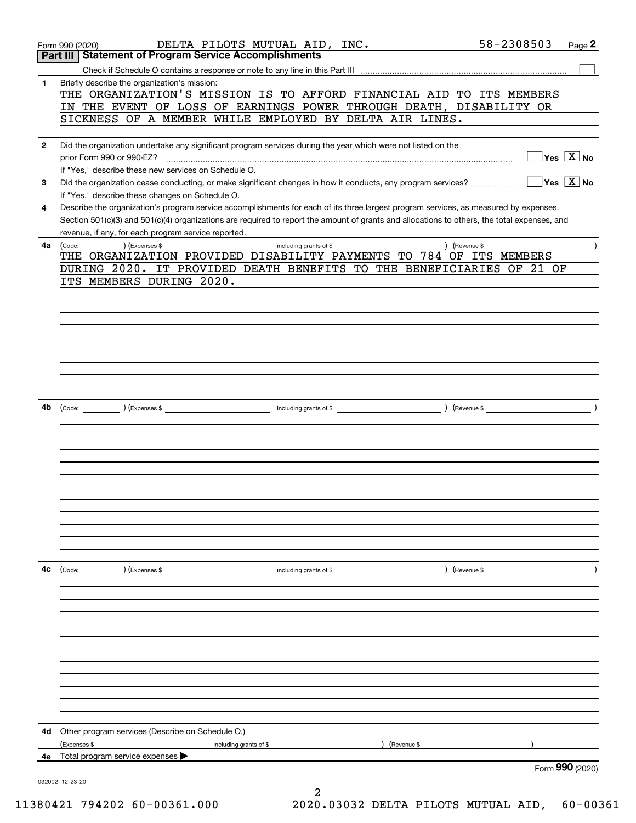|              | DELTA PILOTS MUTUAL AID, INC.<br>Form 990 (2020)                                                                                                                | 58-2308503<br>Page 2                                 |
|--------------|-----------------------------------------------------------------------------------------------------------------------------------------------------------------|------------------------------------------------------|
|              | <b>Statement of Program Service Accomplishments</b><br>Part III                                                                                                 |                                                      |
|              |                                                                                                                                                                 |                                                      |
| 1            | Briefly describe the organization's mission:<br>THE ORGANIZATION'S MISSION IS TO AFFORD FINANCIAL AID TO ITS MEMBERS                                            |                                                      |
|              | IN THE EVENT OF LOSS OF EARNINGS POWER THROUGH DEATH,                                                                                                           | DISABILITY OR                                        |
|              | SICKNESS OF A MEMBER WHILE EMPLOYED BY DELTA AIR LINES.                                                                                                         |                                                      |
|              |                                                                                                                                                                 |                                                      |
| $\mathbf{2}$ | Did the organization undertake any significant program services during the year which were not listed on the                                                    |                                                      |
|              | prior Form 990 or 990-EZ?                                                                                                                                       | $\sqrt{\mathsf{Yes}\ \boxed{\mathrm{X}}}$ No         |
|              | If "Yes," describe these new services on Schedule O.                                                                                                            | $\overline{\mathsf{Yes}}$ $\overline{\mathsf{X}}$ No |
| 3            | Did the organization cease conducting, or make significant changes in how it conducts, any program services?<br>If "Yes," describe these changes on Schedule O. |                                                      |
| 4            | Describe the organization's program service accomplishments for each of its three largest program services, as measured by expenses.                            |                                                      |
|              | Section 501(c)(3) and 501(c)(4) organizations are required to report the amount of grants and allocations to others, the total expenses, and                    |                                                      |
|              | revenue, if any, for each program service reported.                                                                                                             |                                                      |
| 4a           | ) (Expenses \$<br>including grants of \$<br>) (Revenue \$<br>(Code:                                                                                             |                                                      |
|              | THE ORGANIZATION PROVIDED DISABILITY PAYMENTS TO 784 OF ITS MEMBERS                                                                                             |                                                      |
|              | DURING 2020. IT PROVIDED DEATH BENEFITS TO THE BENEFICIARIES OF 21 OF<br>ITS MEMBERS DURING 2020.                                                               |                                                      |
|              |                                                                                                                                                                 |                                                      |
|              |                                                                                                                                                                 |                                                      |
|              |                                                                                                                                                                 |                                                      |
|              |                                                                                                                                                                 |                                                      |
|              |                                                                                                                                                                 |                                                      |
|              |                                                                                                                                                                 |                                                      |
|              |                                                                                                                                                                 |                                                      |
|              |                                                                                                                                                                 |                                                      |
|              |                                                                                                                                                                 |                                                      |
| 4b           | including grants of \$<br>) (Revenue \$<br>(Code: ) (Expenses \$                                                                                                | $\lambda$                                            |
|              |                                                                                                                                                                 |                                                      |
|              |                                                                                                                                                                 |                                                      |
|              |                                                                                                                                                                 |                                                      |
|              |                                                                                                                                                                 |                                                      |
|              |                                                                                                                                                                 |                                                      |
|              |                                                                                                                                                                 |                                                      |
|              |                                                                                                                                                                 |                                                      |
|              |                                                                                                                                                                 |                                                      |
|              |                                                                                                                                                                 |                                                      |
|              |                                                                                                                                                                 |                                                      |
|              |                                                                                                                                                                 |                                                      |
| 4c           | (Code: ) (Expenses \$<br>including grants of $$$                                                                                                                | $\overline{\phantom{a}}$<br>) (Revenue \$            |
|              |                                                                                                                                                                 |                                                      |
|              |                                                                                                                                                                 |                                                      |
|              |                                                                                                                                                                 |                                                      |
|              |                                                                                                                                                                 |                                                      |
|              |                                                                                                                                                                 |                                                      |
|              |                                                                                                                                                                 |                                                      |
|              |                                                                                                                                                                 |                                                      |
|              |                                                                                                                                                                 |                                                      |
|              |                                                                                                                                                                 |                                                      |
|              |                                                                                                                                                                 |                                                      |
| 4d           | Other program services (Describe on Schedule O.)                                                                                                                |                                                      |
|              | (Expenses \$<br>including grants of \$<br>Revenue \$                                                                                                            |                                                      |
| 4е           | Total program service expenses                                                                                                                                  |                                                      |
|              |                                                                                                                                                                 | Form 990 (2020)                                      |
|              | 032002 12-23-20                                                                                                                                                 |                                                      |
|              | 2                                                                                                                                                               |                                                      |

11380421 794202 60-00361.000 2020.03032 DELTA PILOTS MUTUAL AID, 60-00361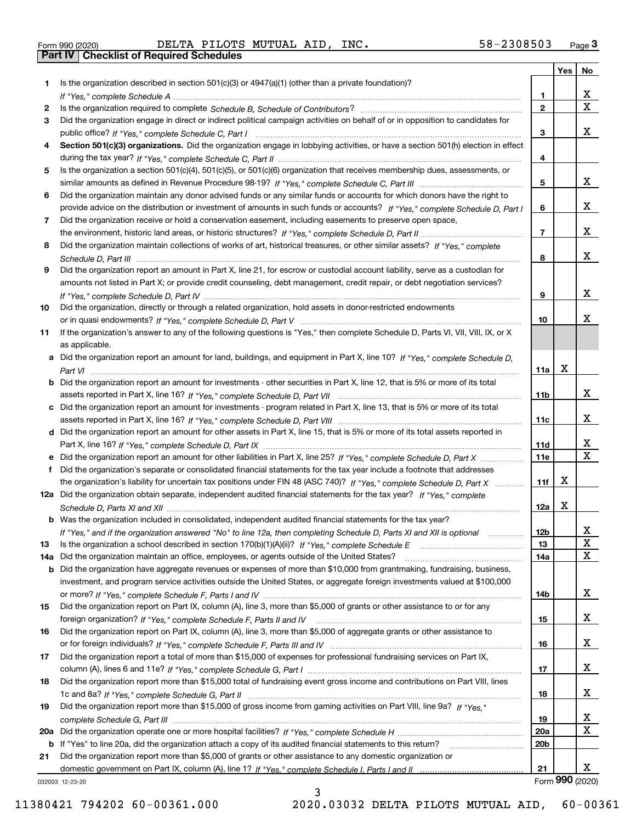|  | Form 990 (2020) |  |
|--|-----------------|--|

Form 990 (2020) Page **3Part IV Checklist of Required Schedules** DELTA PILOTS MUTUAL AID, INC. 58-2308503

|     |                                                                                                                                  |                 | Yes | No              |
|-----|----------------------------------------------------------------------------------------------------------------------------------|-----------------|-----|-----------------|
| 1   | Is the organization described in section $501(c)(3)$ or $4947(a)(1)$ (other than a private foundation)?                          |                 |     |                 |
|     |                                                                                                                                  | 1               |     | х               |
| 2   |                                                                                                                                  | $\overline{2}$  |     | $\mathbf X$     |
| 3   | Did the organization engage in direct or indirect political campaign activities on behalf of or in opposition to candidates for  |                 |     |                 |
|     |                                                                                                                                  | 3               |     | х               |
| 4   | Section 501(c)(3) organizations. Did the organization engage in lobbying activities, or have a section 501(h) election in effect |                 |     |                 |
|     |                                                                                                                                  | 4               |     |                 |
| 5   | Is the organization a section 501(c)(4), 501(c)(5), or 501(c)(6) organization that receives membership dues, assessments, or     |                 |     |                 |
|     |                                                                                                                                  | 5               |     | x               |
| 6   | Did the organization maintain any donor advised funds or any similar funds or accounts for which donors have the right to        |                 |     |                 |
|     | provide advice on the distribution or investment of amounts in such funds or accounts? If "Yes," complete Schedule D, Part I     | 6               |     | х               |
| 7   | Did the organization receive or hold a conservation easement, including easements to preserve open space,                        |                 |     |                 |
|     |                                                                                                                                  | $\overline{7}$  |     | х               |
| 8   | Did the organization maintain collections of works of art, historical treasures, or other similar assets? If "Yes," complete     |                 |     |                 |
|     |                                                                                                                                  | 8               |     | х               |
| 9   | Did the organization report an amount in Part X, line 21, for escrow or custodial account liability, serve as a custodian for    |                 |     |                 |
|     | amounts not listed in Part X; or provide credit counseling, debt management, credit repair, or debt negotiation services?        |                 |     |                 |
|     |                                                                                                                                  | 9               |     | х               |
| 10  | Did the organization, directly or through a related organization, hold assets in donor-restricted endowments                     |                 |     | x               |
|     |                                                                                                                                  | 10              |     |                 |
| 11  | If the organization's answer to any of the following questions is "Yes," then complete Schedule D, Parts VI, VII, VIII, IX, or X |                 |     |                 |
|     | as applicable.                                                                                                                   |                 |     |                 |
|     | a Did the organization report an amount for land, buildings, and equipment in Part X, line 10? If "Yes," complete Schedule D,    |                 | X   |                 |
|     |                                                                                                                                  | 11a             |     |                 |
|     | Did the organization report an amount for investments - other securities in Part X, line 12, that is 5% or more of its total     | 11 <sub>b</sub> |     | x               |
| c   | Did the organization report an amount for investments - program related in Part X, line 13, that is 5% or more of its total      |                 |     |                 |
|     |                                                                                                                                  | 11c             |     | x               |
|     | d Did the organization report an amount for other assets in Part X, line 15, that is 5% or more of its total assets reported in  |                 |     |                 |
|     |                                                                                                                                  | <b>11d</b>      |     | X               |
|     | e Did the organization report an amount for other liabilities in Part X, line 25? If "Yes," complete Schedule D, Part X          | 11e             |     | $\mathbf X$     |
|     | Did the organization's separate or consolidated financial statements for the tax year include a footnote that addresses          |                 |     |                 |
|     | the organization's liability for uncertain tax positions under FIN 48 (ASC 740)? If "Yes," complete Schedule D, Part X           | 11f             | Х   |                 |
|     | 12a Did the organization obtain separate, independent audited financial statements for the tax year? If "Yes," complete          |                 |     |                 |
|     |                                                                                                                                  | 12a             | X   |                 |
|     | <b>b</b> Was the organization included in consolidated, independent audited financial statements for the tax year?               |                 |     |                 |
|     | If "Yes," and if the organization answered "No" to line 12a, then completing Schedule D, Parts XI and XII is optional            | 12b             |     | ᅀ               |
| 13  |                                                                                                                                  | 13              |     | $\mathbf X$     |
| 14a | Did the organization maintain an office, employees, or agents outside of the United States?                                      | 14a             |     | X               |
| b   | Did the organization have aggregate revenues or expenses of more than \$10,000 from grantmaking, fundraising, business,          |                 |     |                 |
|     | investment, and program service activities outside the United States, or aggregate foreign investments valued at \$100,000       |                 |     |                 |
|     |                                                                                                                                  | 14b             |     | x               |
| 15  | Did the organization report on Part IX, column (A), line 3, more than \$5,000 of grants or other assistance to or for any        |                 |     |                 |
|     |                                                                                                                                  | 15              |     | x               |
| 16  | Did the organization report on Part IX, column (A), line 3, more than \$5,000 of aggregate grants or other assistance to         |                 |     |                 |
|     |                                                                                                                                  | 16              |     | x               |
| 17  | Did the organization report a total of more than \$15,000 of expenses for professional fundraising services on Part IX,          |                 |     |                 |
|     |                                                                                                                                  | 17              |     | x               |
| 18  | Did the organization report more than \$15,000 total of fundraising event gross income and contributions on Part VIII, lines     |                 |     |                 |
|     |                                                                                                                                  | 18              |     | x               |
| 19  | Did the organization report more than \$15,000 of gross income from gaming activities on Part VIII, line 9a? If "Yes."           |                 |     |                 |
|     |                                                                                                                                  | 19              |     | x               |
| 20a |                                                                                                                                  | <b>20a</b>      |     | х               |
| b   | If "Yes" to line 20a, did the organization attach a copy of its audited financial statements to this return?                     | 20 <sub>b</sub> |     |                 |
| 21  | Did the organization report more than \$5,000 of grants or other assistance to any domestic organization or                      |                 |     |                 |
|     |                                                                                                                                  | 21              |     | х               |
|     | 032003 12-23-20                                                                                                                  |                 |     | Form 990 (2020) |

3

032003 12-23-20

11380421 794202 60-00361.000 2020.03032 DELTA PILOTS MUTUAL AID, 60-00361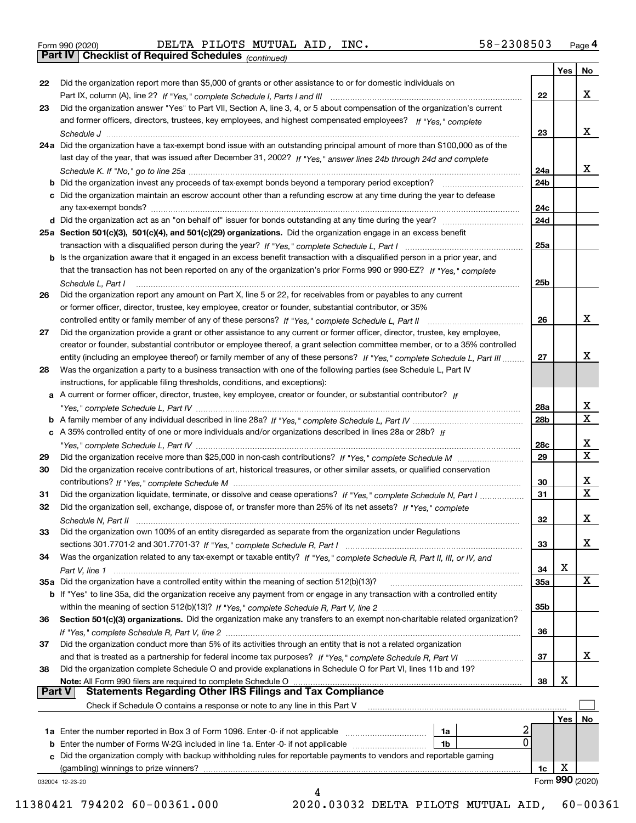|  | Form 990 (2020) |
|--|-----------------|
|  |                 |

Form 990 (2020) Page **4Part IV Checklist of Required Schedules** DELTA PILOTS MUTUAL AID, INC. 58-2308503

*(continued)*

|               |                                                                                                                                    |                 | Yes | No.             |
|---------------|------------------------------------------------------------------------------------------------------------------------------------|-----------------|-----|-----------------|
| 22            | Did the organization report more than \$5,000 of grants or other assistance to or for domestic individuals on                      |                 |     |                 |
|               |                                                                                                                                    | 22              |     | x               |
| 23            | Did the organization answer "Yes" to Part VII, Section A, line 3, 4, or 5 about compensation of the organization's current         |                 |     |                 |
|               | and former officers, directors, trustees, key employees, and highest compensated employees? If "Yes," complete                     |                 |     |                 |
|               | Schedule J                                                                                                                         | 23              |     | х               |
|               | 24a Did the organization have a tax-exempt bond issue with an outstanding principal amount of more than \$100,000 as of the        |                 |     |                 |
|               | last day of the year, that was issued after December 31, 2002? If "Yes," answer lines 24b through 24d and complete                 |                 |     |                 |
|               |                                                                                                                                    | 24a             |     | х               |
|               | <b>b</b> Did the organization invest any proceeds of tax-exempt bonds beyond a temporary period exception?                         | 24b             |     |                 |
|               | c Did the organization maintain an escrow account other than a refunding escrow at any time during the year to defease             |                 |     |                 |
|               |                                                                                                                                    | 24c             |     |                 |
|               |                                                                                                                                    |                 |     |                 |
|               |                                                                                                                                    | 24d             |     |                 |
|               | 25a Section 501(c)(3), 501(c)(4), and 501(c)(29) organizations. Did the organization engage in an excess benefit                   |                 |     |                 |
|               |                                                                                                                                    | 25a             |     |                 |
|               | b Is the organization aware that it engaged in an excess benefit transaction with a disqualified person in a prior year, and       |                 |     |                 |
|               | that the transaction has not been reported on any of the organization's prior Forms 990 or 990-EZ? If "Yes," complete              |                 |     |                 |
|               | Schedule L. Part I                                                                                                                 | 25b             |     |                 |
| 26            | Did the organization report any amount on Part X, line 5 or 22, for receivables from or payables to any current                    |                 |     |                 |
|               | or former officer, director, trustee, key employee, creator or founder, substantial contributor, or 35%                            |                 |     |                 |
|               | controlled entity or family member of any of these persons? If "Yes," complete Schedule L, Part II                                 | 26              |     | x               |
| 27            | Did the organization provide a grant or other assistance to any current or former officer, director, trustee, key employee,        |                 |     |                 |
|               | creator or founder, substantial contributor or employee thereof, a grant selection committee member, or to a 35% controlled        |                 |     |                 |
|               | entity (including an employee thereof) or family member of any of these persons? If "Yes," complete Schedule L, Part III           | 27              |     | x               |
| 28            | Was the organization a party to a business transaction with one of the following parties (see Schedule L, Part IV                  |                 |     |                 |
|               | instructions, for applicable filing thresholds, conditions, and exceptions):                                                       |                 |     |                 |
|               | a A current or former officer, director, trustee, key employee, creator or founder, or substantial contributor? If                 |                 |     |                 |
|               |                                                                                                                                    | 28a             |     | х               |
|               |                                                                                                                                    | 28 <sub>b</sub> |     | x               |
|               | c A 35% controlled entity of one or more individuals and/or organizations described in lines 28a or 28b? If                        |                 |     |                 |
|               |                                                                                                                                    | 28c             |     | х               |
| 29            |                                                                                                                                    | 29              |     | X               |
| 30            | Did the organization receive contributions of art, historical treasures, or other similar assets, or qualified conservation        |                 |     |                 |
|               |                                                                                                                                    | 30              |     | х               |
|               |                                                                                                                                    |                 |     | x               |
| 31            | Did the organization liquidate, terminate, or dissolve and cease operations? If "Yes," complete Schedule N, Part I                 | 31              |     |                 |
| 32            | Did the organization sell, exchange, dispose of, or transfer more than 25% of its net assets? If "Yes," complete                   |                 |     | х               |
|               | Schedule N. Part II                                                                                                                | 32              |     |                 |
| 33            | Did the organization own 100% of an entity disregarded as separate from the organization under Regulations                         |                 |     |                 |
|               |                                                                                                                                    | 33              |     | x               |
| 34            | Was the organization related to any tax-exempt or taxable entity? If "Yes," complete Schedule R, Part II, III, or IV, and          |                 |     |                 |
|               |                                                                                                                                    | 34              | х   |                 |
|               | 35a Did the organization have a controlled entity within the meaning of section 512(b)(13)?                                        | <b>35a</b>      |     | x               |
|               | <b>b</b> If "Yes" to line 35a, did the organization receive any payment from or engage in any transaction with a controlled entity |                 |     |                 |
|               |                                                                                                                                    | 35b             |     |                 |
| 36            | Section 501(c)(3) organizations. Did the organization make any transfers to an exempt non-charitable related organization?         |                 |     |                 |
|               |                                                                                                                                    | 36              |     |                 |
| 37            | Did the organization conduct more than 5% of its activities through an entity that is not a related organization                   |                 |     |                 |
|               | and that is treated as a partnership for federal income tax purposes? If "Yes," complete Schedule R, Part VI                       | 37              |     | x               |
| 38            | Did the organization complete Schedule O and provide explanations in Schedule O for Part VI, lines 11b and 19?                     |                 |     |                 |
|               | Note: All Form 990 filers are required to complete Schedule O                                                                      | 38              | х   |                 |
| <b>Part V</b> | <b>Statements Regarding Other IRS Filings and Tax Compliance</b>                                                                   |                 |     |                 |
|               | Check if Schedule O contains a response or note to any line in this Part V                                                         |                 |     |                 |
|               |                                                                                                                                    |                 | Yes | No              |
|               | 1a                                                                                                                                 |                 |     |                 |
|               | 0<br>1b                                                                                                                            |                 |     |                 |
|               | c Did the organization comply with backup withholding rules for reportable payments to vendors and reportable gaming               |                 |     |                 |
|               | (gambling) winnings to prize winners?                                                                                              | 1c              | х   |                 |
|               | 032004 12-23-20                                                                                                                    |                 |     | Form 990 (2020) |
|               | Δ                                                                                                                                  |                 |     |                 |

11380421 794202 60-00361.000 2020.03032 DELTA PILOTS MUTUAL AID, 60-00361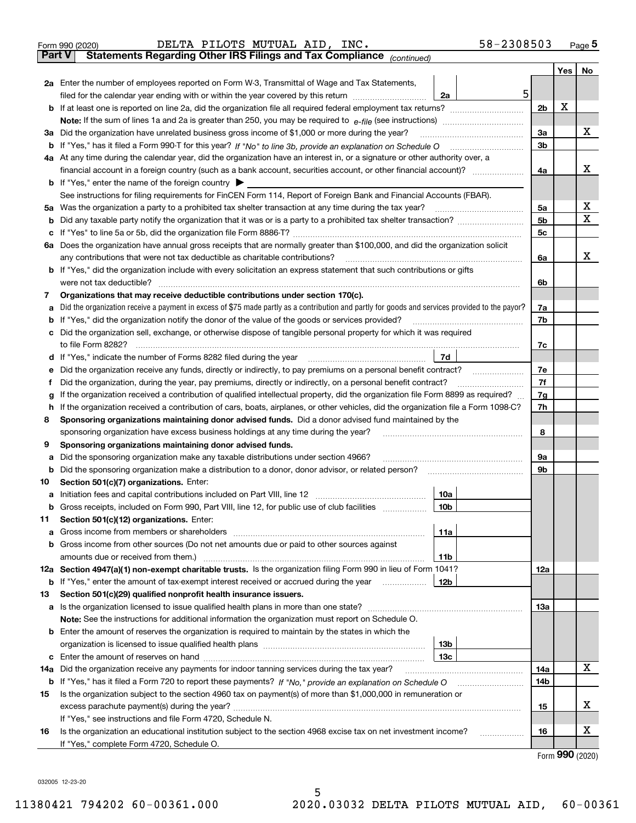|        | 58-2308503<br>DELTA PILOTS MUTUAL AID, INC.<br>Form 990 (2020)                                                                                  |                |     | Page 5                  |
|--------|-------------------------------------------------------------------------------------------------------------------------------------------------|----------------|-----|-------------------------|
| Part V | Statements Regarding Other IRS Filings and Tax Compliance (continued)                                                                           |                |     |                         |
|        |                                                                                                                                                 |                | Yes | No                      |
|        | 2a Enter the number of employees reported on Form W-3, Transmittal of Wage and Tax Statements,                                                  |                |     |                         |
|        | 5<br>filed for the calendar year ending with or within the year covered by this return<br>2a                                                    |                |     |                         |
| b      | If at least one is reported on line 2a, did the organization file all required federal employment tax returns?                                  | 2 <sub>b</sub> | X   |                         |
|        |                                                                                                                                                 |                |     |                         |
|        | 3a Did the organization have unrelated business gross income of \$1,000 or more during the year?                                                | 3a             |     | X                       |
| b      | If "Yes," has it filed a Form 990-T for this year? If "No" to line 3b, provide an explanation on Schedule O                                     | 3 <sub>b</sub> |     |                         |
|        | 4a At any time during the calendar year, did the organization have an interest in, or a signature or other authority over, a                    |                |     |                         |
|        | financial account in a foreign country (such as a bank account, securities account, or other financial account)?                                | 4a             |     | x                       |
|        | <b>b</b> If "Yes," enter the name of the foreign country $\blacktriangleright$                                                                  |                |     |                         |
|        | See instructions for filing requirements for FinCEN Form 114, Report of Foreign Bank and Financial Accounts (FBAR).                             |                |     |                         |
| 5a     |                                                                                                                                                 | 5a             |     | X                       |
| b      |                                                                                                                                                 | 5b             |     | $\overline{\mathbf{x}}$ |
| c      |                                                                                                                                                 | 5 <sub>c</sub> |     |                         |
|        | 6a Does the organization have annual gross receipts that are normally greater than \$100,000, and did the organization solicit                  |                |     |                         |
|        | any contributions that were not tax deductible as charitable contributions?                                                                     | 6a             |     | X.                      |
|        | <b>b</b> If "Yes," did the organization include with every solicitation an express statement that such contributions or gifts                   |                |     |                         |
|        | were not tax deductible?                                                                                                                        | 6b             |     |                         |
| 7      | Organizations that may receive deductible contributions under section 170(c).                                                                   |                |     |                         |
| a      | Did the organization receive a payment in excess of \$75 made partly as a contribution and partly for goods and services provided to the payor? | 7a             |     |                         |
| b      | If "Yes," did the organization notify the donor of the value of the goods or services provided?                                                 | 7b             |     |                         |
| c      | Did the organization sell, exchange, or otherwise dispose of tangible personal property for which it was required                               |                |     |                         |
|        |                                                                                                                                                 | 7c             |     |                         |
|        | d If "Yes," indicate the number of Forms 8282 filed during the year                                                                             |                |     |                         |
| е      | Did the organization receive any funds, directly or indirectly, to pay premiums on a personal benefit contract?                                 | 7e             |     |                         |
| f      | Did the organization, during the year, pay premiums, directly or indirectly, on a personal benefit contract?                                    | 7f             |     |                         |
| g      | If the organization received a contribution of qualified intellectual property, did the organization file Form 8899 as required?                | 7g             |     |                         |
| h      | If the organization received a contribution of cars, boats, airplanes, or other vehicles, did the organization file a Form 1098-C?              | 7h             |     |                         |
| 8      | Sponsoring organizations maintaining donor advised funds. Did a donor advised fund maintained by the                                            |                |     |                         |
|        | sponsoring organization have excess business holdings at any time during the year?                                                              | 8              |     |                         |
| 9      | Sponsoring organizations maintaining donor advised funds.                                                                                       |                |     |                         |
| a      | Did the sponsoring organization make any taxable distributions under section 4966?                                                              | 9a             |     |                         |
| b      | Did the sponsoring organization make a distribution to a donor, donor advisor, or related person?                                               | 9b             |     |                         |
| 10     | Section 501(c)(7) organizations. Enter:                                                                                                         |                |     |                         |
| a      | Initiation fees and capital contributions included on Part VIII, line 12 <i>manuarrouus</i> manuations of the late<br>10a                       |                |     |                         |
| b      | 10 <sub>b</sub><br>Gross receipts, included on Form 990, Part VIII, line 12, for public use of club facilities                                  |                |     |                         |
| 11     | Section 501(c)(12) organizations. Enter:                                                                                                        |                |     |                         |
| a      | 11a                                                                                                                                             |                |     |                         |

|     | <b>b</b> Gross income from other sources (Do not net amounts due or paid to other sources against                                                                                                                             |                 |     |   |
|-----|-------------------------------------------------------------------------------------------------------------------------------------------------------------------------------------------------------------------------------|-----------------|-----|---|
|     | amounts due or received from them.) And the state of the state of the state of the state of the state of the state of the state of the state of the state of the state of the state of the state of the state of the state of | 11 <sub>b</sub> |     |   |
|     | 12a Section 4947(a)(1) non-exempt charitable trusts. Is the organization filing Form 990 in lieu of Form 1041?                                                                                                                |                 | 12a |   |
| b   | If "Yes," enter the amount of tax-exempt interest received or accrued during the year                                                                                                                                         | 12b             |     |   |
| 13  | Section 501(c)(29) qualified nonprofit health insurance issuers.                                                                                                                                                              |                 |     |   |
|     | <b>a</b> Is the organization licensed to issue qualified health plans in more than one state?                                                                                                                                 |                 | 13а |   |
|     | Note: See the instructions for additional information the organization must report on Schedule O.                                                                                                                             |                 |     |   |
|     | <b>b</b> Enter the amount of reserves the organization is required to maintain by the states in which the                                                                                                                     |                 |     |   |
|     |                                                                                                                                                                                                                               | 13 <sub>b</sub> |     |   |
|     |                                                                                                                                                                                                                               | 13с             |     |   |
| 14a | Did the organization receive any payments for indoor tanning services during the tax year?                                                                                                                                    |                 | 14a | х |
|     |                                                                                                                                                                                                                               |                 | 14b |   |
| 15  | Is the organization subject to the section 4960 tax on payment(s) of more than \$1,000,000 in remuneration or                                                                                                                 |                 |     |   |
|     |                                                                                                                                                                                                                               |                 | 15  | Χ |
|     | If "Yes," see instructions and file Form 4720, Schedule N.                                                                                                                                                                    |                 |     |   |
| 16  | Is the organization an educational institution subject to the section 4968 excise tax on net investment income?                                                                                                               |                 | 16  | х |
|     | If "Yes," complete Form 4720, Schedule O.                                                                                                                                                                                     |                 |     |   |

Form (2020) **990**

032005 12-23-20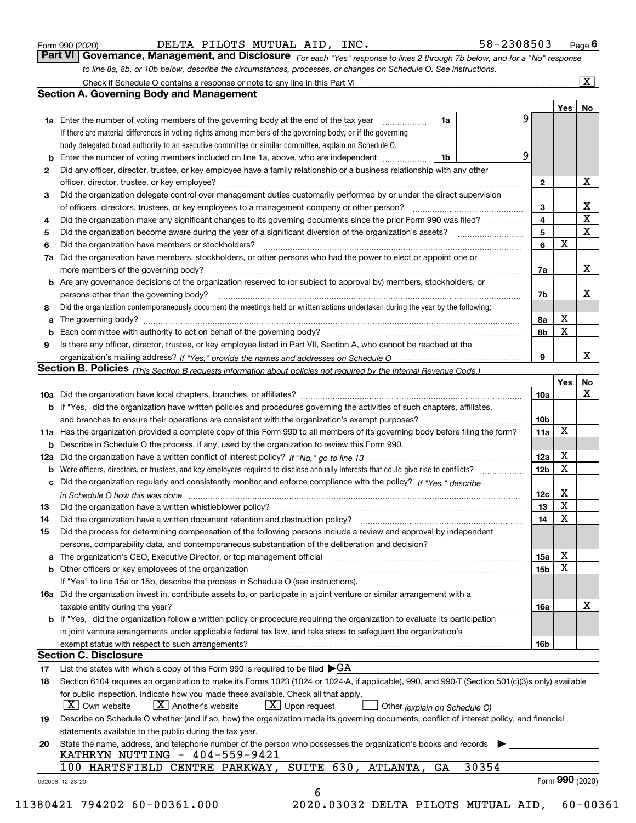|  | Form 990 (2020) |
|--|-----------------|
|  |                 |

Check if Schedule O contains a response or note to any line in this Part VI

 $\boxed{\text{X}}$ 

| Form 990 (2020) |  | DELTA PILOTS MUTUAL AID, INC. |  | $58 - 2308503$ Page 6                                                                                                              |  |
|-----------------|--|-------------------------------|--|------------------------------------------------------------------------------------------------------------------------------------|--|
|                 |  |                               |  | <b>Part VI Governance, Management, and Disclosure</b> For each "Yes" response to lines 2 through 7b below, and for a "No" response |  |

*to line 8a, 8b, or 10b below, describe the circumstances, processes, or changes on Schedule O. See instructions.*

|     |                                                                                                                                                  |                 | Yes                     | No                      |
|-----|--------------------------------------------------------------------------------------------------------------------------------------------------|-----------------|-------------------------|-------------------------|
|     | 9<br><b>1a</b> Enter the number of voting members of the governing body at the end of the tax year<br>1a                                         |                 |                         |                         |
|     | If there are material differences in voting rights among members of the governing body, or if the governing                                      |                 |                         |                         |
|     | body delegated broad authority to an executive committee or similar committee, explain on Schedule O.                                            |                 |                         |                         |
| b   | 9<br>Enter the number of voting members included on line 1a, above, who are independent<br>1b                                                    |                 |                         |                         |
| 2   | Did any officer, director, trustee, or key employee have a family relationship or a business relationship with any other                         |                 |                         |                         |
|     | officer, director, trustee, or key employee?                                                                                                     | $\mathbf{2}$    |                         | X                       |
| з   | Did the organization delegate control over management duties customarily performed by or under the direct supervision                            |                 |                         |                         |
|     |                                                                                                                                                  | 3               |                         | $\frac{X}{X}$           |
| 4   | Did the organization make any significant changes to its governing documents since the prior Form 990 was filed?                                 | 4               |                         |                         |
| 5   |                                                                                                                                                  | 5               |                         | $\overline{\mathbf{x}}$ |
| 6   | Did the organization have members or stockholders?                                                                                               | 6               | $\mathbf X$             |                         |
| 7a  | Did the organization have members, stockholders, or other persons who had the power to elect or appoint one or                                   |                 |                         |                         |
|     |                                                                                                                                                  | 7a              |                         | х                       |
|     | b Are any governance decisions of the organization reserved to (or subject to approval by) members, stockholders, or                             |                 |                         |                         |
|     | persons other than the governing body?                                                                                                           | 7b              |                         | х                       |
| 8   | Did the organization contemporaneously document the meetings held or written actions undertaken during the year by the following:                |                 |                         |                         |
|     |                                                                                                                                                  | 8a              | х                       |                         |
|     |                                                                                                                                                  | 8b              | $\mathbf X$             |                         |
| 9   | Is there any officer, director, trustee, or key employee listed in Part VII, Section A, who cannot be reached at the                             |                 |                         |                         |
|     |                                                                                                                                                  | 9               |                         | x                       |
|     | Section B. Policies (This Section B requests information about policies not required by the Internal Revenue Code.)                              |                 |                         |                         |
|     |                                                                                                                                                  |                 | Yes                     | No                      |
|     |                                                                                                                                                  | 10a             |                         | $\mathbf X$             |
|     | b If "Yes," did the organization have written policies and procedures governing the activities of such chapters, affiliates,                     |                 |                         |                         |
|     |                                                                                                                                                  |                 |                         |                         |
|     | and branches to ensure their operations are consistent with the organization's exempt purposes?                                                  | 10 <sub>b</sub> | X                       |                         |
|     | 11a Has the organization provided a complete copy of this Form 990 to all members of its governing body before filing the form?                  | 11a             |                         |                         |
|     | <b>b</b> Describe in Schedule O the process, if any, used by the organization to review this Form 990.                                           |                 |                         |                         |
| 12a |                                                                                                                                                  | 12a             | X<br>$\mathbf x$        |                         |
| b   |                                                                                                                                                  | 12 <sub>b</sub> |                         |                         |
|     | c Did the organization regularly and consistently monitor and enforce compliance with the policy? If "Yes," describe                             |                 |                         |                         |
|     | in Schedule O how this was done www.communication.com/www.communications.com/www.communications.com/                                             | 12c             | X                       |                         |
| 13  | Did the organization have a written whistleblower policy?                                                                                        | 13              | $\overline{\mathbf{x}}$ |                         |
| 14  |                                                                                                                                                  | 14              | $\mathbf x$             |                         |
| 15  | Did the process for determining compensation of the following persons include a review and approval by independent                               |                 |                         |                         |
|     | persons, comparability data, and contemporaneous substantiation of the deliberation and decision?                                                |                 |                         |                         |
|     | The organization's CEO, Executive Director, or top management official [11] [12] manumerror contractions contr                                   | 15a             | $\mathbf X$             |                         |
|     | <b>b</b> Other officers or key employees of the organization                                                                                     | 15b             | X                       |                         |
|     | If "Yes" to line 15a or 15b, describe the process in Schedule O (see instructions).                                                              |                 |                         |                         |
|     | 16a Did the organization invest in, contribute assets to, or participate in a joint venture or similar arrangement with a                        |                 |                         |                         |
|     | taxable entity during the year?                                                                                                                  | 16a             |                         | х                       |
|     | b If "Yes," did the organization follow a written policy or procedure requiring the organization to evaluate its participation                   |                 |                         |                         |
|     | in joint venture arrangements under applicable federal tax law, and take steps to safeguard the organization's                                   |                 |                         |                         |
|     |                                                                                                                                                  | 16b             |                         |                         |
|     | <b>Section C. Disclosure</b>                                                                                                                     |                 |                         |                         |
| 17  | List the states with which a copy of this Form 990 is required to be filed $\blacktriangleright$ GA                                              |                 |                         |                         |
| 18  | Section 6104 requires an organization to make its Forms 1023 (1024 or 1024-A, if applicable), 990, and 990-T (Section 501(c)(3)s only) available |                 |                         |                         |
|     | for public inspection. Indicate how you made these available. Check all that apply.                                                              |                 |                         |                         |
|     | $X$ Upon request<br>$\mid$ $\rm X \mid$ Own website<br>$X$ Another's website<br>Other (explain on Schedule O)                                    |                 |                         |                         |
| 19  | Describe on Schedule O whether (and if so, how) the organization made its governing documents, conflict of interest policy, and financial        |                 |                         |                         |
|     | statements available to the public during the tax year.                                                                                          |                 |                         |                         |
| 20  | State the name, address, and telephone number of the person who possesses the organization's books and records                                   |                 |                         |                         |
|     | KATHRYN NUTTING - 404-559-9421                                                                                                                   |                 |                         |                         |
|     | SUITE 630, ATLANTA, GA<br>30354<br>100 HARTSFIELD CENTRE PARKWAY,                                                                                |                 |                         |                         |
|     |                                                                                                                                                  |                 | Form 990 (2020)         |                         |
|     | 032006 12-23-20                                                                                                                                  |                 |                         |                         |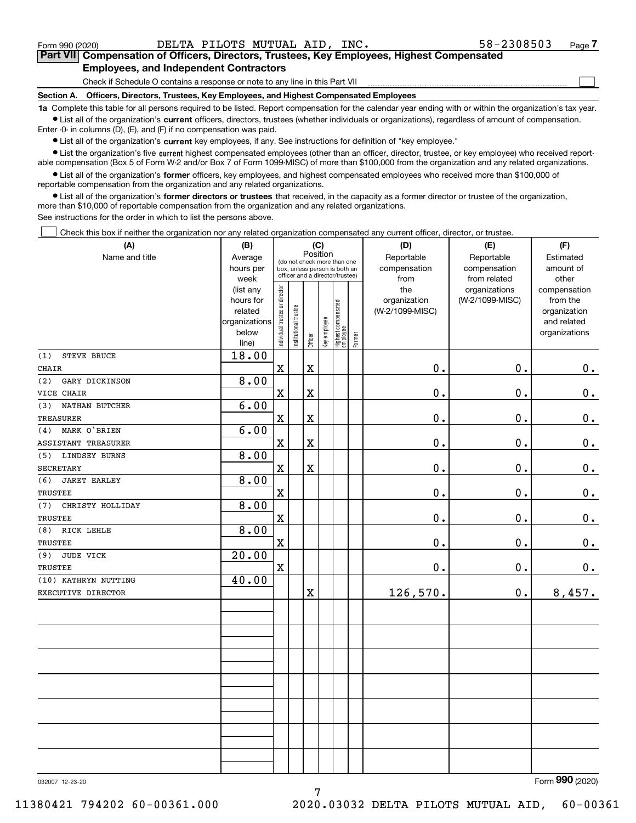$\mathcal{L}^{\text{max}}$ 

| Form 990 (2020) |                                               | DELTA PILOTS MUTUAL AID, INC. |  | 58-2308503                                                                                 | Page 7 |
|-----------------|-----------------------------------------------|-------------------------------|--|--------------------------------------------------------------------------------------------|--------|
|                 |                                               |                               |  | Part VII Compensation of Officers, Directors, Trustees, Key Employees, Highest Compensated |        |
|                 | <b>Employees, and Independent Contractors</b> |                               |  |                                                                                            |        |

Check if Schedule O contains a response or note to any line in this Part VII

**Section A. Officers, Directors, Trustees, Key Employees, and Highest Compensated Employees**

**1a**  Complete this table for all persons required to be listed. Report compensation for the calendar year ending with or within the organization's tax year. **•** List all of the organization's current officers, directors, trustees (whether individuals or organizations), regardless of amount of compensation.

Enter -0- in columns (D), (E), and (F) if no compensation was paid.

 $\bullet$  List all of the organization's  $\,$ current key employees, if any. See instructions for definition of "key employee."

**•** List the organization's five current highest compensated employees (other than an officer, director, trustee, or key employee) who received reportable compensation (Box 5 of Form W-2 and/or Box 7 of Form 1099-MISC) of more than \$100,000 from the organization and any related organizations.

**•** List all of the organization's former officers, key employees, and highest compensated employees who received more than \$100,000 of reportable compensation from the organization and any related organizations.

**former directors or trustees**  ¥ List all of the organization's that received, in the capacity as a former director or trustee of the organization, more than \$10,000 of reportable compensation from the organization and any related organizations.

See instructions for the order in which to list the persons above.

Check this box if neither the organization nor any related organization compensated any current officer, director, or trustee.  $\mathcal{L}^{\text{max}}$ 

| (A)                         | (B)            |                                         |                                 | (C)                     |              |                                  |        | (D)             | (E)             | (F)            |
|-----------------------------|----------------|-----------------------------------------|---------------------------------|-------------------------|--------------|----------------------------------|--------|-----------------|-----------------|----------------|
| Name and title              | Average        | Position<br>(do not check more than one |                                 |                         |              |                                  |        | Reportable      | Reportable      | Estimated      |
|                             | hours per      |                                         | box, unless person is both an   |                         |              |                                  |        | compensation    | compensation    | amount of      |
|                             | week           |                                         | officer and a director/trustee) |                         |              |                                  |        | from            | from related    | other          |
|                             | (list any      |                                         |                                 |                         |              |                                  |        | the             | organizations   | compensation   |
|                             | hours for      |                                         |                                 |                         |              |                                  |        | organization    | (W-2/1099-MISC) | from the       |
|                             | related        |                                         |                                 |                         |              |                                  |        | (W-2/1099-MISC) |                 | organization   |
|                             | organizations  |                                         |                                 |                         |              |                                  |        |                 |                 | and related    |
|                             | below<br>line) | Individual trustee or director          | Institutional trustee           | Officer                 | Key employee | Highest compensated<br> employee | Former |                 |                 | organizations  |
| STEVE BRUCE<br>(1)          | 18.00          |                                         |                                 |                         |              |                                  |        |                 |                 |                |
| <b>CHAIR</b>                |                | $\mathbf x$                             |                                 | $\mathbf X$             |              |                                  |        | 0.              | $\mathbf 0$ .   | 0.             |
| (2)<br>GARY DICKINSON       | 8.00           |                                         |                                 |                         |              |                                  |        |                 |                 |                |
| VICE CHAIR                  |                | X                                       |                                 | $\mathbf X$             |              |                                  |        | 0.              | $\mathbf 0$ .   | $0_{.}$        |
| NATHAN BUTCHER<br>(3)       | 6.00           |                                         |                                 |                         |              |                                  |        |                 |                 |                |
| <b>TREASURER</b>            |                | $\mathbf X$                             |                                 | $\mathbf X$             |              |                                  |        | 0.              | 0.              | $0_{.}$        |
| MARK O'BRIEN<br>(4)         | 6.00           |                                         |                                 |                         |              |                                  |        |                 |                 |                |
| ASSISTANT TREASURER         |                | $\overline{\textbf{X}}$                 |                                 | $\rm X$                 |              |                                  |        | 0.              | $\mathbf 0$ .   | $0_{.}$        |
| <b>LINDSEY BURNS</b><br>(5) | 8.00           |                                         |                                 |                         |              |                                  |        |                 |                 |                |
| <b>SECRETARY</b>            |                | $\rm X$                                 |                                 | $\mathbf X$             |              |                                  |        | $0$ .           | $\mathbf 0$ .   | $\mathbf 0$ .  |
| <b>JARET EARLEY</b><br>(6)  | 8.00           |                                         |                                 |                         |              |                                  |        |                 |                 |                |
| <b>TRUSTEE</b>              |                | $\overline{\mathbf{X}}$                 |                                 |                         |              |                                  |        | 0.              | $\mathbf 0$ .   | $\mathbf 0$ .  |
| (7)<br>CHRISTY HOLLIDAY     | 8.00           |                                         |                                 |                         |              |                                  |        |                 |                 |                |
| <b>TRUSTEE</b>              |                | X                                       |                                 |                         |              |                                  |        | 0.              | 0.              | $\mathbf 0$ .  |
| RICK LEHLE<br>(8)           | 8.00           |                                         |                                 |                         |              |                                  |        |                 |                 |                |
| <b>TRUSTEE</b>              |                | $\overline{\textbf{X}}$                 |                                 |                         |              |                                  |        | 0.              | $\mathbf 0$ .   | 0.             |
| <b>JUDE VICK</b><br>(9)     | 20.00          |                                         |                                 |                         |              |                                  |        |                 |                 |                |
| TRUSTEE                     |                | $\rm X$                                 |                                 |                         |              |                                  |        | 0.              | $\mathbf 0$ .   | 0.             |
| (10) KATHRYN NUTTING        | 40.00          |                                         |                                 |                         |              |                                  |        |                 |                 |                |
| EXECUTIVE DIRECTOR          |                |                                         |                                 | $\overline{\mathbf{X}}$ |              |                                  |        | 126,570.        | 0.              | 8,457.         |
|                             |                |                                         |                                 |                         |              |                                  |        |                 |                 |                |
|                             |                |                                         |                                 |                         |              |                                  |        |                 |                 |                |
|                             |                |                                         |                                 |                         |              |                                  |        |                 |                 |                |
|                             |                |                                         |                                 |                         |              |                                  |        |                 |                 |                |
|                             |                |                                         |                                 |                         |              |                                  |        |                 |                 |                |
|                             |                |                                         |                                 |                         |              |                                  |        |                 |                 |                |
|                             |                |                                         |                                 |                         |              |                                  |        |                 |                 |                |
|                             |                |                                         |                                 |                         |              |                                  |        |                 |                 |                |
|                             |                |                                         |                                 |                         |              |                                  |        |                 |                 |                |
|                             |                |                                         |                                 |                         |              |                                  |        |                 |                 |                |
|                             |                |                                         |                                 |                         |              |                                  |        |                 |                 |                |
|                             |                |                                         |                                 |                         |              |                                  |        |                 |                 | $\overline{2}$ |

7

032007 12-23-20

Form (2020) **990**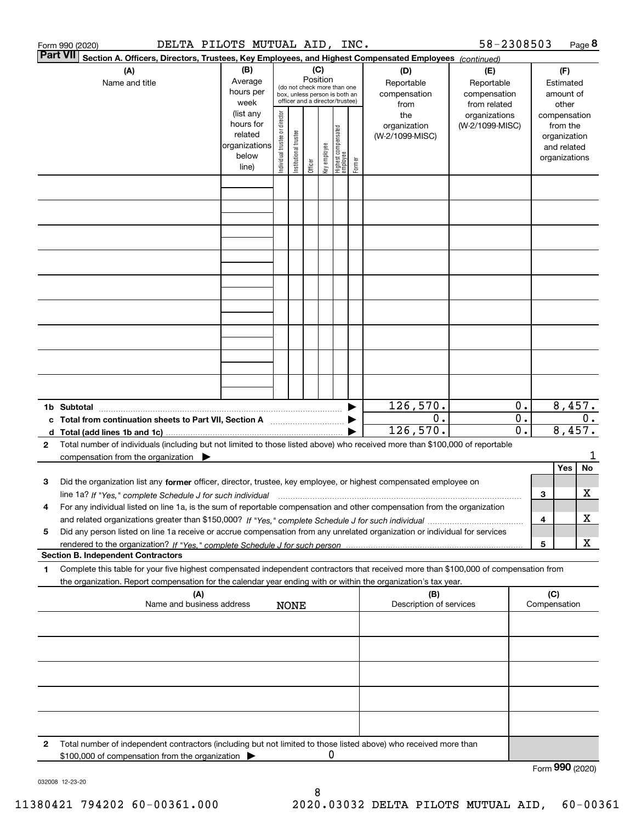|   | DELTA PILOTS MUTUAL AID, INC.<br>Form 990 (2020)                                                                                                                                                                                                                            |                                                                      |                                |                       |                 |              |                                                                                                 |        |                                           | 58-2308503                                        |                                                          |   |                                                                          | Page 8 |
|---|-----------------------------------------------------------------------------------------------------------------------------------------------------------------------------------------------------------------------------------------------------------------------------|----------------------------------------------------------------------|--------------------------------|-----------------------|-----------------|--------------|-------------------------------------------------------------------------------------------------|--------|-------------------------------------------|---------------------------------------------------|----------------------------------------------------------|---|--------------------------------------------------------------------------|--------|
|   | Part VII <br>Section A. Officers, Directors, Trustees, Key Employees, and Highest Compensated Employees (continued)                                                                                                                                                         |                                                                      |                                |                       |                 |              |                                                                                                 |        |                                           |                                                   |                                                          |   |                                                                          |        |
|   | (A)<br>Name and title                                                                                                                                                                                                                                                       | (B)<br>Average<br>hours per<br>week                                  |                                |                       | (C)<br>Position |              | (do not check more than one<br>box, unless person is both an<br>officer and a director/trustee) |        | (D)<br>Reportable<br>compensation<br>from | (E)<br>Reportable<br>compensation<br>from related |                                                          |   | (F)<br>Estimated<br>amount of<br>other                                   |        |
|   |                                                                                                                                                                                                                                                                             | (list any<br>hours for<br>related<br>organizations<br>below<br>line) | Individual trustee or director | Institutional trustee | Officer         | key employee | Highest compensated<br>  employee                                                               | Former | the<br>organization<br>(W-2/1099-MISC)    | organizations<br>(W-2/1099-MISC)                  |                                                          |   | compensation<br>from the<br>organization<br>and related<br>organizations |        |
|   |                                                                                                                                                                                                                                                                             |                                                                      |                                |                       |                 |              |                                                                                                 |        |                                           |                                                   |                                                          |   |                                                                          |        |
|   |                                                                                                                                                                                                                                                                             |                                                                      |                                |                       |                 |              |                                                                                                 |        |                                           |                                                   |                                                          |   |                                                                          |        |
|   |                                                                                                                                                                                                                                                                             |                                                                      |                                |                       |                 |              |                                                                                                 |        |                                           |                                                   |                                                          |   |                                                                          |        |
|   |                                                                                                                                                                                                                                                                             |                                                                      |                                |                       |                 |              |                                                                                                 |        |                                           |                                                   |                                                          |   |                                                                          |        |
|   |                                                                                                                                                                                                                                                                             |                                                                      |                                |                       |                 |              |                                                                                                 |        |                                           |                                                   |                                                          |   |                                                                          |        |
|   |                                                                                                                                                                                                                                                                             |                                                                      |                                |                       |                 |              |                                                                                                 |        |                                           |                                                   |                                                          |   |                                                                          |        |
|   |                                                                                                                                                                                                                                                                             |                                                                      |                                |                       |                 |              |                                                                                                 |        |                                           |                                                   |                                                          |   |                                                                          |        |
|   |                                                                                                                                                                                                                                                                             |                                                                      |                                |                       |                 |              |                                                                                                 |        | 126,570.                                  |                                                   | 0.                                                       |   | 8,457.                                                                   |        |
|   | 1b Subtotal<br>c Total from continuation sheets to Part VII, Section A                                                                                                                                                                                                      |                                                                      |                                |                       |                 |              |                                                                                                 |        | 0.<br>126, 570.                           |                                                   | $\overline{\mathbf{0}}$ .<br>$\overline{\mathfrak{0}}$ . |   | 8,457.                                                                   | $0$ .  |
| 2 | Total number of individuals (including but not limited to those listed above) who received more than \$100,000 of reportable<br>compensation from the organization $\blacktriangleright$                                                                                    |                                                                      |                                |                       |                 |              |                                                                                                 |        |                                           |                                                   |                                                          |   |                                                                          |        |
| з | Did the organization list any former officer, director, trustee, key employee, or highest compensated employee on                                                                                                                                                           |                                                                      |                                |                       |                 |              |                                                                                                 |        |                                           |                                                   |                                                          |   | Yes                                                                      | No     |
| 4 | line 1a? If "Yes," complete Schedule J for such individual manufactured contained and the 1a? If "Yes," complete Schedule J for such individual<br>For any individual listed on line 1a, is the sum of reportable compensation and other compensation from the organization |                                                                      |                                |                       |                 |              |                                                                                                 |        |                                           |                                                   |                                                          | 3 |                                                                          | х      |
| 5 | Did any person listed on line 1a receive or accrue compensation from any unrelated organization or individual for services                                                                                                                                                  |                                                                      |                                |                       |                 |              |                                                                                                 |        |                                           |                                                   |                                                          | 4 |                                                                          | х      |
|   | <b>Section B. Independent Contractors</b>                                                                                                                                                                                                                                   |                                                                      |                                |                       |                 |              |                                                                                                 |        |                                           |                                                   |                                                          | 5 |                                                                          | X      |
| 1 | Complete this table for your five highest compensated independent contractors that received more than \$100,000 of compensation from<br>the organization. Report compensation for the calendar year ending with or within the organization's tax year.                      |                                                                      |                                |                       |                 |              |                                                                                                 |        |                                           |                                                   |                                                          |   |                                                                          |        |
|   | (A)<br>Name and business address                                                                                                                                                                                                                                            |                                                                      |                                | <b>NONE</b>           |                 |              |                                                                                                 |        | (B)<br>Description of services            |                                                   |                                                          |   | (C)<br>Compensation                                                      |        |
|   |                                                                                                                                                                                                                                                                             |                                                                      |                                |                       |                 |              |                                                                                                 |        |                                           |                                                   |                                                          |   |                                                                          |        |
|   |                                                                                                                                                                                                                                                                             |                                                                      |                                |                       |                 |              |                                                                                                 |        |                                           |                                                   |                                                          |   |                                                                          |        |
|   |                                                                                                                                                                                                                                                                             |                                                                      |                                |                       |                 |              |                                                                                                 |        |                                           |                                                   |                                                          |   |                                                                          |        |
|   |                                                                                                                                                                                                                                                                             |                                                                      |                                |                       |                 |              |                                                                                                 |        |                                           |                                                   |                                                          |   |                                                                          |        |
| 2 | Total number of independent contractors (including but not limited to those listed above) who received more than<br>\$100,000 of compensation from the organization                                                                                                         |                                                                      |                                |                       |                 | 0            |                                                                                                 |        |                                           |                                                   |                                                          |   |                                                                          |        |
|   |                                                                                                                                                                                                                                                                             |                                                                      |                                |                       |                 |              |                                                                                                 |        |                                           |                                                   |                                                          |   | Form 990 (2020)                                                          |        |

032008 12-23-20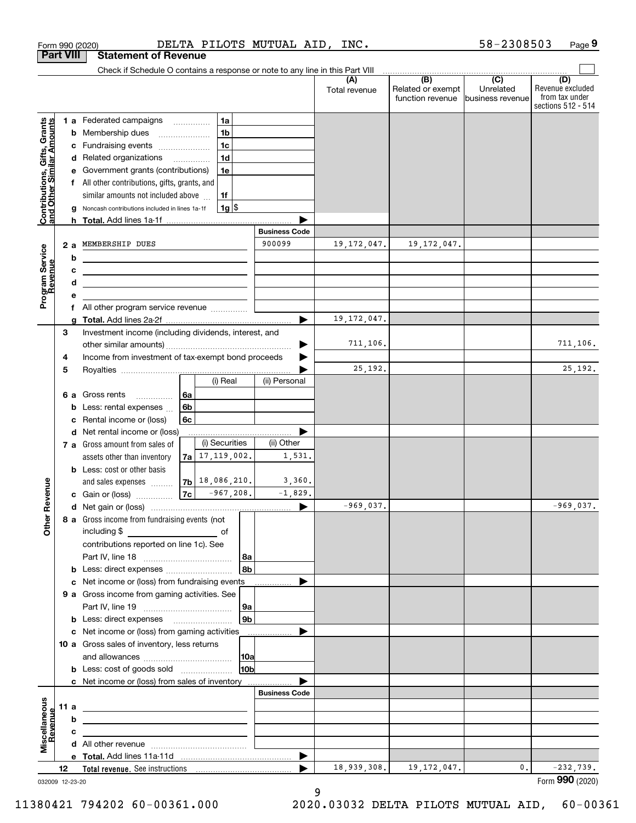|                                                           |                 | Form 990 (2020)                                                                                                       | DELTA PILOTS MUTUAL AID, INC. |                       |                      |                                                     | 58-2308503                    | Page 9                                                          |
|-----------------------------------------------------------|-----------------|-----------------------------------------------------------------------------------------------------------------------|-------------------------------|-----------------------|----------------------|-----------------------------------------------------|-------------------------------|-----------------------------------------------------------------|
| <b>Part VIII</b>                                          |                 | <b>Statement of Revenue</b>                                                                                           |                               |                       |                      |                                                     |                               |                                                                 |
|                                                           |                 | Check if Schedule O contains a response or note to any line in this Part VIII                                         |                               |                       |                      | $\overline{(\mathsf{B})}$ $\overline{(\mathsf{C})}$ |                               |                                                                 |
|                                                           |                 |                                                                                                                       |                               |                       | (A)<br>Total revenue | Related or exempt<br>function revenue               | Unrelated<br>business revenue | (D)<br>Revenue excluded<br>from tax under<br>sections 512 - 514 |
|                                                           |                 | <b>1 a</b> Federated campaigns                                                                                        | 1a<br>.                       |                       |                      |                                                     |                               |                                                                 |
| Contributions, Gifts, Grants<br>and Other Similar Amounts | b               | Membership dues                                                                                                       | 1 <sub>b</sub>                |                       |                      |                                                     |                               |                                                                 |
|                                                           |                 | c Fundraising events                                                                                                  | 1 <sub>c</sub>                |                       |                      |                                                     |                               |                                                                 |
|                                                           |                 | d Related organizations                                                                                               | 1 <sub>d</sub>                |                       |                      |                                                     |                               |                                                                 |
|                                                           | е               | Government grants (contributions)                                                                                     | 1e                            |                       |                      |                                                     |                               |                                                                 |
|                                                           |                 | f All other contributions, gifts, grants, and                                                                         |                               |                       |                      |                                                     |                               |                                                                 |
|                                                           |                 | similar amounts not included above                                                                                    | 1f                            |                       |                      |                                                     |                               |                                                                 |
|                                                           | g               | Noncash contributions included in lines 1a-1f                                                                         | $1g$ \$                       |                       |                      |                                                     |                               |                                                                 |
|                                                           |                 |                                                                                                                       |                               |                       |                      |                                                     |                               |                                                                 |
|                                                           |                 |                                                                                                                       |                               | <b>Business Code</b>  |                      |                                                     |                               |                                                                 |
|                                                           | 2a              | MEMBERSHIP DUES                                                                                                       |                               | 900099                | 19, 172, 047.        | 19, 172, 047.                                       |                               |                                                                 |
|                                                           | b               | the contract of the contract of the contract of the contract of the contract of                                       |                               |                       |                      |                                                     |                               |                                                                 |
|                                                           | c               | <u> 1989 - Johann Barbara, martin amerikan basar dan berasal dalam basar dalam basar dalam basar dalam basar dala</u> |                               |                       |                      |                                                     |                               |                                                                 |
| Program Service<br>Revenue                                | d               | <u> 1989 - Johann Stein, mars an deus an deus Amerikaanse komme</u>                                                   |                               |                       |                      |                                                     |                               |                                                                 |
|                                                           | e               |                                                                                                                       |                               |                       |                      |                                                     |                               |                                                                 |
|                                                           |                 | f All other program service revenue                                                                                   |                               |                       | 19, 172, 047.        |                                                     |                               |                                                                 |
|                                                           | g<br>3          | Investment income (including dividends, interest, and                                                                 |                               |                       |                      |                                                     |                               |                                                                 |
|                                                           |                 |                                                                                                                       |                               |                       | 711,106.             |                                                     |                               | 711,106.                                                        |
|                                                           | 4               | Income from investment of tax-exempt bond proceeds                                                                    |                               |                       |                      |                                                     |                               |                                                                 |
|                                                           | 5               |                                                                                                                       |                               |                       | 25,192.              |                                                     |                               | 25, 192.                                                        |
|                                                           |                 |                                                                                                                       | (i) Real                      | (ii) Personal         |                      |                                                     |                               |                                                                 |
|                                                           |                 | 6 a Gross rents                                                                                                       | 6a                            |                       |                      |                                                     |                               |                                                                 |
|                                                           |                 | <b>b</b> Less: rental expenses $\ldots$                                                                               | 6 <sub>b</sub>                |                       |                      |                                                     |                               |                                                                 |
|                                                           | c               | Rental income or (loss)                                                                                               | 6с                            |                       |                      |                                                     |                               |                                                                 |
|                                                           |                 | d Net rental income or (loss)                                                                                         |                               |                       |                      |                                                     |                               |                                                                 |
|                                                           |                 | 7 a Gross amount from sales of                                                                                        | (i) Securities                | (ii) Other            |                      |                                                     |                               |                                                                 |
|                                                           |                 | assets other than inventory                                                                                           | $7a$ 17, 119, 002.            | 1,531.                |                      |                                                     |                               |                                                                 |
|                                                           |                 | <b>b</b> Less: cost or other basis                                                                                    |                               |                       |                      |                                                     |                               |                                                                 |
|                                                           |                 | and sales expenses                                                                                                    | $ 7b $ 18,086,210.            | 3,360.                |                      |                                                     |                               |                                                                 |
| evenue                                                    |                 | c Gain or (loss)                                                                                                      | 7c <br>$-967, 208.$           | $-1,829.$             |                      |                                                     |                               |                                                                 |
| Œ                                                         |                 |                                                                                                                       |                               |                       | $-969,037.$          |                                                     |                               | $-969,037.$                                                     |
| Other                                                     |                 | 8 a Gross income from fundraising events (not                                                                         |                               |                       |                      |                                                     |                               |                                                                 |
|                                                           |                 |                                                                                                                       |                               |                       |                      |                                                     |                               |                                                                 |
|                                                           |                 | contributions reported on line 1c). See                                                                               |                               |                       |                      |                                                     |                               |                                                                 |
|                                                           |                 |                                                                                                                       | 8a<br>8b                      |                       |                      |                                                     |                               |                                                                 |
|                                                           |                 | <b>b</b> Less: direct expenses <i>manually contained</i>                                                              |                               |                       |                      |                                                     |                               |                                                                 |
|                                                           |                 | c Net income or (loss) from fundraising events<br>9 a Gross income from gaming activities. See                        |                               |                       |                      |                                                     |                               |                                                                 |
|                                                           |                 |                                                                                                                       | 9a                            |                       |                      |                                                     |                               |                                                                 |
|                                                           |                 | <b>b</b> Less: direct expenses <b>manually</b>                                                                        | 9 <sub>b</sub>                |                       |                      |                                                     |                               |                                                                 |
|                                                           |                 | c Net income or (loss) from gaming activities                                                                         |                               |                       |                      |                                                     |                               |                                                                 |
|                                                           |                 | 10 a Gross sales of inventory, less returns                                                                           |                               |                       |                      |                                                     |                               |                                                                 |
|                                                           |                 |                                                                                                                       |                               |                       |                      |                                                     |                               |                                                                 |
|                                                           |                 | <b>b</b> Less: cost of goods sold                                                                                     | 10 <sub>b</sub>               |                       |                      |                                                     |                               |                                                                 |
|                                                           |                 | c Net income or (loss) from sales of inventory                                                                        |                               |                       |                      |                                                     |                               |                                                                 |
|                                                           |                 |                                                                                                                       |                               | <b>Business Code</b>  |                      |                                                     |                               |                                                                 |
|                                                           | 11a             | <u> 1989 - Johann Barn, mars and de Brasilian (b. 1989)</u>                                                           |                               |                       |                      |                                                     |                               |                                                                 |
| Revenue                                                   | b               | <u> 1999 - Johann Barbara, martxa eta idazlea (h. 1989).</u>                                                          |                               |                       |                      |                                                     |                               |                                                                 |
|                                                           | с               | the control of the control of the control of the control of the control of the control of                             |                               |                       |                      |                                                     |                               |                                                                 |
| Miscellaneous                                             |                 |                                                                                                                       |                               |                       |                      |                                                     |                               |                                                                 |
|                                                           |                 |                                                                                                                       |                               | $\blacktriangleright$ |                      |                                                     |                               |                                                                 |
|                                                           | 12              |                                                                                                                       |                               | ▶                     | 18,939,308.          | 19, 172, 047.                                       | 0.                            | $-232,739.$                                                     |
|                                                           | 032009 12-23-20 |                                                                                                                       |                               |                       |                      |                                                     |                               | Form 990 (2020)                                                 |

9

 <sup>11380421 794202 60-00361.000 2020.03032</sup> DELTA PILOTS MUTUAL AID, 60-00361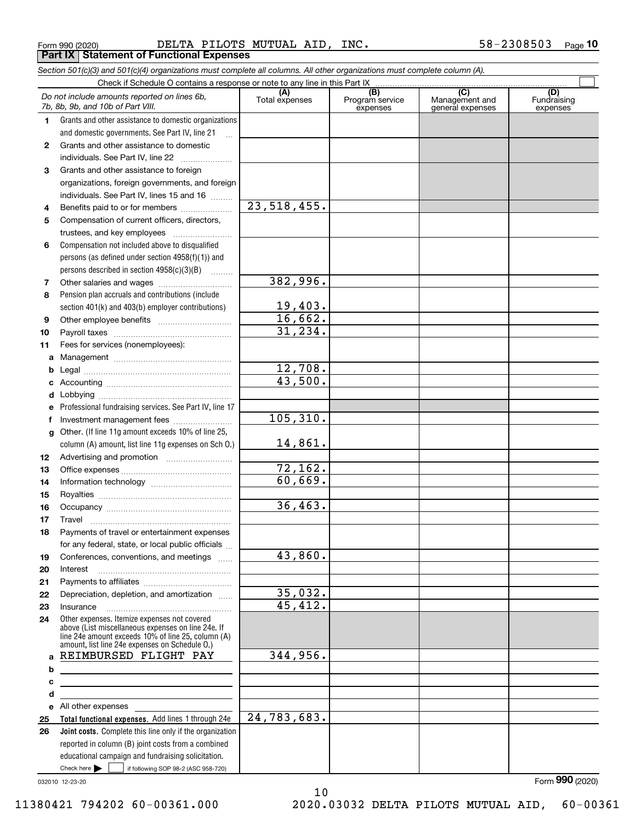Form 990 (2020) Page DELTA PILOTS MUTUAL AID, INC. 58-2308503 **Part IX Statement of Functional Expenses**

|    | Section 501(c)(3) and 501(c)(4) organizations must complete all columns. All other organizations must complete column (A).                                                                                 |                       |                                    |                                           |                                |
|----|------------------------------------------------------------------------------------------------------------------------------------------------------------------------------------------------------------|-----------------------|------------------------------------|-------------------------------------------|--------------------------------|
|    |                                                                                                                                                                                                            |                       |                                    |                                           |                                |
|    | Do not include amounts reported on lines 6b,<br>7b, 8b, 9b, and 10b of Part VIII.                                                                                                                          | (A)<br>Total expenses | (B)<br>Program service<br>expenses | (C)<br>Management and<br>general expenses | (D)<br>Fundraising<br>expenses |
| 1. | Grants and other assistance to domestic organizations                                                                                                                                                      |                       |                                    |                                           |                                |
|    | and domestic governments. See Part IV, line 21                                                                                                                                                             |                       |                                    |                                           |                                |
| 2  | Grants and other assistance to domestic                                                                                                                                                                    |                       |                                    |                                           |                                |
|    | individuals. See Part IV, line 22                                                                                                                                                                          |                       |                                    |                                           |                                |
| 3  | Grants and other assistance to foreign                                                                                                                                                                     |                       |                                    |                                           |                                |
|    | organizations, foreign governments, and foreign                                                                                                                                                            |                       |                                    |                                           |                                |
|    | individuals. See Part IV, lines 15 and 16                                                                                                                                                                  |                       |                                    |                                           |                                |
| 4  | Benefits paid to or for members                                                                                                                                                                            | 23, 518, 455.         |                                    |                                           |                                |
| 5  | Compensation of current officers, directors,                                                                                                                                                               |                       |                                    |                                           |                                |
|    | trustees, and key employees                                                                                                                                                                                |                       |                                    |                                           |                                |
| 6  | Compensation not included above to disqualified                                                                                                                                                            |                       |                                    |                                           |                                |
|    | persons (as defined under section $4958(f)(1)$ ) and                                                                                                                                                       |                       |                                    |                                           |                                |
|    | persons described in section 4958(c)(3)(B)                                                                                                                                                                 |                       |                                    |                                           |                                |
| 7  | Other salaries and wages                                                                                                                                                                                   | 382,996.              |                                    |                                           |                                |
| 8  | Pension plan accruals and contributions (include                                                                                                                                                           |                       |                                    |                                           |                                |
|    | section 401(k) and 403(b) employer contributions)                                                                                                                                                          | 19,403.               |                                    |                                           |                                |
| 9  |                                                                                                                                                                                                            | 16,662.               |                                    |                                           |                                |
| 10 |                                                                                                                                                                                                            | 31, 234.              |                                    |                                           |                                |
| 11 | Fees for services (nonemployees):                                                                                                                                                                          |                       |                                    |                                           |                                |
| а  |                                                                                                                                                                                                            |                       |                                    |                                           |                                |
| b  |                                                                                                                                                                                                            | 12,708.               |                                    |                                           |                                |
| c  |                                                                                                                                                                                                            | 43,500.               |                                    |                                           |                                |
| d  |                                                                                                                                                                                                            |                       |                                    |                                           |                                |
| е  | Professional fundraising services. See Part IV, line 17                                                                                                                                                    |                       |                                    |                                           |                                |
| f  | Investment management fees                                                                                                                                                                                 | 105, 310.             |                                    |                                           |                                |
| g  | Other. (If line 11g amount exceeds 10% of line 25,                                                                                                                                                         |                       |                                    |                                           |                                |
|    | column (A) amount, list line 11g expenses on Sch O.)                                                                                                                                                       | 14,861.               |                                    |                                           |                                |
| 12 |                                                                                                                                                                                                            |                       |                                    |                                           |                                |
| 13 |                                                                                                                                                                                                            | 72,162.               |                                    |                                           |                                |
| 14 |                                                                                                                                                                                                            | 60,669.               |                                    |                                           |                                |
| 15 |                                                                                                                                                                                                            |                       |                                    |                                           |                                |
| 16 |                                                                                                                                                                                                            | 36,463.               |                                    |                                           |                                |
| 17 |                                                                                                                                                                                                            |                       |                                    |                                           |                                |
| 18 | Payments of travel or entertainment expenses                                                                                                                                                               |                       |                                    |                                           |                                |
|    | for any federal, state, or local public officials                                                                                                                                                          |                       |                                    |                                           |                                |
| 19 | Conferences, conventions, and meetings                                                                                                                                                                     | 43,860.               |                                    |                                           |                                |
| 20 | Interest                                                                                                                                                                                                   |                       |                                    |                                           |                                |
| 21 |                                                                                                                                                                                                            |                       |                                    |                                           |                                |
| 22 | Depreciation, depletion, and amortization                                                                                                                                                                  | 35,032.               |                                    |                                           |                                |
| 23 | Insurance                                                                                                                                                                                                  | 45,412.               |                                    |                                           |                                |
| 24 | Other expenses. Itemize expenses not covered<br>above (List miscellaneous expenses on line 24e. If<br>line 24e amount exceeds 10% of line 25, column (A)<br>amount, list line 24e expenses on Schedule 0.) |                       |                                    |                                           |                                |
|    | a REIMBURSED FLIGHT PAY                                                                                                                                                                                    | 344,956.              |                                    |                                           |                                |
| b  |                                                                                                                                                                                                            |                       |                                    |                                           |                                |
| c  |                                                                                                                                                                                                            |                       |                                    |                                           |                                |
| d  |                                                                                                                                                                                                            |                       |                                    |                                           |                                |
|    | e All other expenses                                                                                                                                                                                       |                       |                                    |                                           |                                |
| 25 | Total functional expenses. Add lines 1 through 24e                                                                                                                                                         | 24,783,683.           |                                    |                                           |                                |
| 26 | <b>Joint costs.</b> Complete this line only if the organization                                                                                                                                            |                       |                                    |                                           |                                |
|    | reported in column (B) joint costs from a combined                                                                                                                                                         |                       |                                    |                                           |                                |
|    | educational campaign and fundraising solicitation.                                                                                                                                                         |                       |                                    |                                           |                                |
|    | Check here         if following SOP 98-2 (ASC 958-720)                                                                                                                                                     |                       |                                    |                                           |                                |

10

032010 12-23-20

Form (2020) **990**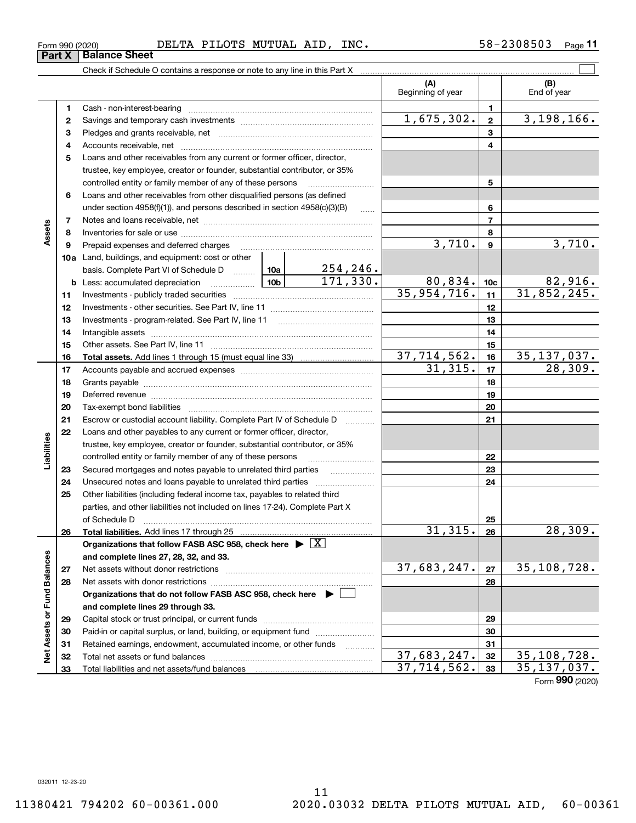Check if Schedule O contains a response or note to any line in this Part X

|                             |    |                                                                                                                                                                                                                                |  |                     | (A)<br>Beginning of year |                 | (B)<br>End of year |
|-----------------------------|----|--------------------------------------------------------------------------------------------------------------------------------------------------------------------------------------------------------------------------------|--|---------------------|--------------------------|-----------------|--------------------|
|                             | 1. |                                                                                                                                                                                                                                |  |                     |                          | 1               |                    |
|                             | 2  |                                                                                                                                                                                                                                |  |                     | 1,675,302.               | $\mathbf{2}$    | 3,198,166.         |
|                             | 3  |                                                                                                                                                                                                                                |  |                     |                          | 3               |                    |
|                             | 4  |                                                                                                                                                                                                                                |  |                     |                          | 4               |                    |
|                             | 5  | Loans and other receivables from any current or former officer, director,                                                                                                                                                      |  |                     |                          |                 |                    |
|                             |    | trustee, key employee, creator or founder, substantial contributor, or 35%                                                                                                                                                     |  |                     |                          |                 |                    |
|                             |    | controlled entity or family member of any of these persons                                                                                                                                                                     |  |                     |                          | 5               |                    |
|                             | 6  | Loans and other receivables from other disqualified persons (as defined                                                                                                                                                        |  |                     |                          |                 |                    |
|                             |    | under section $4958(f)(1)$ , and persons described in section $4958(c)(3)(B)$                                                                                                                                                  |  | $\sim$              |                          | 6               |                    |
|                             | 7  |                                                                                                                                                                                                                                |  |                     |                          | $\overline{7}$  |                    |
| Assets                      | 8  |                                                                                                                                                                                                                                |  |                     |                          | 8               |                    |
|                             | 9  | Prepaid expenses and deferred charges                                                                                                                                                                                          |  |                     | 3,710.                   | 9               | 3,710.             |
|                             |    | <b>10a</b> Land, buildings, and equipment: cost or other                                                                                                                                                                       |  |                     |                          |                 |                    |
|                             |    |                                                                                                                                                                                                                                |  |                     |                          |                 |                    |
|                             |    | <b>b</b> Less: accumulated depreciation                                                                                                                                                                                        |  |                     | 80,834.                  | 10 <sub>c</sub> | 82,916.            |
|                             | 11 |                                                                                                                                                                                                                                |  |                     | 35,954,716.              | 11              | 31,852,245.        |
|                             | 12 |                                                                                                                                                                                                                                |  |                     |                          | 12              |                    |
|                             | 13 | Investments - program-related. See Part IV, line 11                                                                                                                                                                            |  |                     |                          | 13              |                    |
|                             | 14 |                                                                                                                                                                                                                                |  |                     |                          | 14              |                    |
|                             | 15 |                                                                                                                                                                                                                                |  |                     |                          | 15              |                    |
|                             | 16 |                                                                                                                                                                                                                                |  |                     | 37,714,562.              | 16              | 35, 137, 037.      |
|                             | 17 |                                                                                                                                                                                                                                |  |                     | 31,315.                  | 17              | 28, 309.           |
|                             | 18 |                                                                                                                                                                                                                                |  | 18                  |                          |                 |                    |
|                             | 19 | Deferred revenue manual contracts and contracts are all the contracts and contracts are contracted and contracts are contracted and contract are contracted and contract are contracted and contract are contracted and contra |  | 19                  |                          |                 |                    |
|                             | 20 |                                                                                                                                                                                                                                |  | 20                  |                          |                 |                    |
|                             | 21 | Escrow or custodial account liability. Complete Part IV of Schedule D                                                                                                                                                          |  | 1.1.1.1.1.1.1.1.1.1 |                          | 21              |                    |
|                             | 22 | Loans and other payables to any current or former officer, director,                                                                                                                                                           |  |                     |                          |                 |                    |
| Liabilities                 |    | trustee, key employee, creator or founder, substantial contributor, or 35%                                                                                                                                                     |  |                     |                          |                 |                    |
|                             |    | controlled entity or family member of any of these persons                                                                                                                                                                     |  |                     |                          | 22              |                    |
|                             | 23 | Secured mortgages and notes payable to unrelated third parties                                                                                                                                                                 |  |                     |                          | 23              |                    |
|                             | 24 |                                                                                                                                                                                                                                |  |                     |                          | 24              |                    |
|                             | 25 | Other liabilities (including federal income tax, payables to related third                                                                                                                                                     |  |                     |                          |                 |                    |
|                             |    | parties, and other liabilities not included on lines 17-24). Complete Part X                                                                                                                                                   |  |                     |                          |                 |                    |
|                             |    | of Schedule D                                                                                                                                                                                                                  |  |                     |                          | 25              |                    |
|                             | 26 |                                                                                                                                                                                                                                |  |                     | 31,315.                  | 26              | 28, 309.           |
|                             |    | Organizations that follow FASB ASC 958, check here $\blacktriangleright \boxed{X}$                                                                                                                                             |  |                     |                          |                 |                    |
|                             |    | and complete lines 27, 28, 32, and 33.                                                                                                                                                                                         |  |                     |                          |                 |                    |
|                             | 27 | Net assets without donor restrictions                                                                                                                                                                                          |  |                     | 37,683,247.              | 27              | 35,108,728.        |
|                             | 28 |                                                                                                                                                                                                                                |  |                     |                          | 28              |                    |
|                             |    | Organizations that do not follow FASB ASC 958, check here $\blacktriangleright$                                                                                                                                                |  |                     |                          |                 |                    |
|                             |    | and complete lines 29 through 33.                                                                                                                                                                                              |  |                     |                          |                 |                    |
| Net Assets or Fund Balances | 29 |                                                                                                                                                                                                                                |  |                     | 29                       |                 |                    |
|                             | 30 | Paid-in or capital surplus, or land, building, or equipment fund                                                                                                                                                               |  |                     |                          | 30              |                    |
|                             | 31 | Retained earnings, endowment, accumulated income, or other funds                                                                                                                                                               |  | .                   |                          | 31              |                    |
|                             | 32 |                                                                                                                                                                                                                                |  |                     | 37,683,247.              | 32              | 35,108,728.        |
|                             | 33 | Total liabilities and net assets/fund balances                                                                                                                                                                                 |  |                     | 37,714,562.              | 33              | 35, 137, 037.      |

 $\mathcal{L}^{\text{max}}$ 

Form (2020) **990**

**Part X Balance Sheet**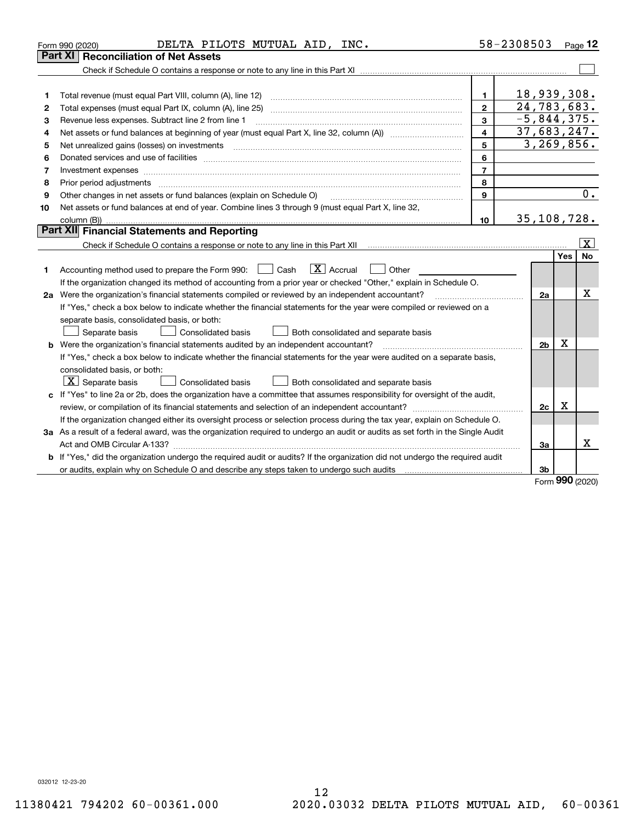|    | DELTA PILOTS MUTUAL AID, INC.<br>Form 990 (2020)                                                                                     |                | 58-2308503     |                     | Page 12                 |  |  |
|----|--------------------------------------------------------------------------------------------------------------------------------------|----------------|----------------|---------------------|-------------------------|--|--|
|    | Part XI   Reconciliation of Net Assets                                                                                               |                |                |                     |                         |  |  |
|    |                                                                                                                                      |                |                |                     |                         |  |  |
|    |                                                                                                                                      |                |                |                     |                         |  |  |
| 1  |                                                                                                                                      | 1              | 18,939,308.    |                     |                         |  |  |
| 2  |                                                                                                                                      | $\mathbf{2}$   | 24,783,683.    |                     |                         |  |  |
| З  | Revenue less expenses. Subtract line 2 from line 1                                                                                   | 3              | $-5,844,375.$  |                     |                         |  |  |
| 4  |                                                                                                                                      | 4              | 37,683,247.    |                     |                         |  |  |
| 5  |                                                                                                                                      | 5              | 3,269,856.     |                     |                         |  |  |
| 6  |                                                                                                                                      | 6              |                |                     |                         |  |  |
| 7  |                                                                                                                                      | $\overline{7}$ |                |                     |                         |  |  |
| 8  | Prior period adjustments                                                                                                             | 8              |                |                     |                         |  |  |
| 9  | Other changes in net assets or fund balances (explain on Schedule O)                                                                 | 9              |                |                     | 0.                      |  |  |
| 10 | Net assets or fund balances at end of year. Combine lines 3 through 9 (must equal Part X, line 32,                                   |                |                |                     |                         |  |  |
|    | column (B))                                                                                                                          | 10             | 35,108,728.    |                     |                         |  |  |
|    | <b>Part XII</b> Financial Statements and Reporting                                                                                   |                |                |                     |                         |  |  |
|    |                                                                                                                                      |                |                |                     | $\overline{\mathbf{x}}$ |  |  |
|    |                                                                                                                                      |                |                | Yes                 | <b>No</b>               |  |  |
| 1  | $\boxed{\mathbf{X}}$ Accrual<br>Accounting method used to prepare the Form 990: <u>June</u> Cash<br>Other                            |                |                |                     |                         |  |  |
|    | If the organization changed its method of accounting from a prior year or checked "Other," explain in Schedule O.                    |                |                |                     |                         |  |  |
|    | 2a Were the organization's financial statements compiled or reviewed by an independent accountant?                                   |                | 2a             |                     | x                       |  |  |
|    | If "Yes," check a box below to indicate whether the financial statements for the year were compiled or reviewed on a                 |                |                |                     |                         |  |  |
|    | separate basis, consolidated basis, or both:                                                                                         |                |                |                     |                         |  |  |
|    | Separate basis<br>Consolidated basis<br>Both consolidated and separate basis                                                         |                |                |                     |                         |  |  |
|    | <b>b</b> Were the organization's financial statements audited by an independent accountant?                                          |                | 2 <sub>b</sub> | х                   |                         |  |  |
|    | If "Yes," check a box below to indicate whether the financial statements for the year were audited on a separate basis,              |                |                |                     |                         |  |  |
|    | consolidated basis, or both:                                                                                                         |                |                |                     |                         |  |  |
|    | $X$ Separate basis<br><b>Consolidated basis</b><br>Both consolidated and separate basis                                              |                |                |                     |                         |  |  |
|    | c If "Yes" to line 2a or 2b, does the organization have a committee that assumes responsibility for oversight of the audit,          |                |                |                     |                         |  |  |
|    |                                                                                                                                      |                | 2c             | x                   |                         |  |  |
|    | If the organization changed either its oversight process or selection process during the tax year, explain on Schedule O.            |                |                |                     |                         |  |  |
|    | 3a As a result of a federal award, was the organization required to undergo an audit or audits as set forth in the Single Audit      |                |                |                     |                         |  |  |
|    | Act and OMB Circular A-133?                                                                                                          |                |                |                     |                         |  |  |
|    | <b>b</b> If "Yes," did the organization undergo the required audit or audits? If the organization did not undergo the required audit |                |                |                     |                         |  |  |
|    |                                                                                                                                      |                | 3b             |                     |                         |  |  |
|    |                                                                                                                                      |                |                | $000 \text{ years}$ |                         |  |  |

Form (2020) **990**

032012 12-23-20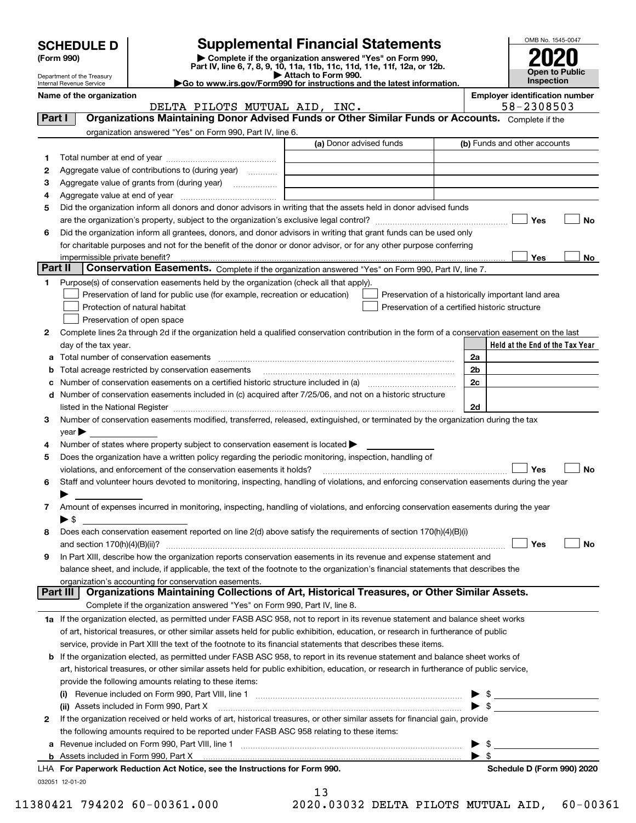|  | <b>SCHEDULE D</b> |  |
|--|-------------------|--|
|  |                   |  |

| (Form 990) |  |  |
|------------|--|--|
|------------|--|--|

# **SCHEDULE D Supplemental Financial Statements**

**(Form 990)** (**Form 990,**<br>Part IV, line 6, 7, 8, 9, 10, 11a, 11b, 11c, 11d, 11e, 11f, 12a, or 12b.<br>Department of the Treasury **and Exercise Connect Connect Connect Connect Connect Connect Connect Connect Connect** 



Department of the Treasury Internal Revenue Service

|                                                                                              | <b>P</b> Allauli IU FUI III 990. |  |
|----------------------------------------------------------------------------------------------|----------------------------------|--|
| $\blacktriangleright$ Go to www.irs.gov/Form990 for instructions and the latest information. |                                  |  |
|                                                                                              |                                  |  |

**Name of the organization Employer identification number**

|        | DELTA PILOTS MUTUAL AID, INC.                                                                                                                                     | 58-2308503                                         |
|--------|-------------------------------------------------------------------------------------------------------------------------------------------------------------------|----------------------------------------------------|
| Part I | Organizations Maintaining Donor Advised Funds or Other Similar Funds or Accounts. Complete if the                                                                 |                                                    |
|        | organization answered "Yes" on Form 990, Part IV, line 6.                                                                                                         |                                                    |
|        | (a) Donor advised funds                                                                                                                                           | (b) Funds and other accounts                       |
| 1      |                                                                                                                                                                   |                                                    |
| 2      | Aggregate value of contributions to (during year)                                                                                                                 |                                                    |
| з      | Aggregate value of grants from (during year)<br>.                                                                                                                 |                                                    |
| 4      |                                                                                                                                                                   |                                                    |
| 5      | Did the organization inform all donors and donor advisors in writing that the assets held in donor advised funds                                                  |                                                    |
|        |                                                                                                                                                                   | Yes<br>No                                          |
| 6      | Did the organization inform all grantees, donors, and donor advisors in writing that grant funds can be used only                                                 |                                                    |
|        | for charitable purposes and not for the benefit of the donor or donor advisor, or for any other purpose conferring                                                |                                                    |
|        | impermissible private benefit?                                                                                                                                    | Yes<br>No                                          |
|        | Part II<br>Conservation Easements. Complete if the organization answered "Yes" on Form 990, Part IV, line 7.                                                      |                                                    |
| 1.     | Purpose(s) of conservation easements held by the organization (check all that apply).                                                                             |                                                    |
|        | Preservation of land for public use (for example, recreation or education)                                                                                        | Preservation of a historically important land area |
|        | Preservation of a certified historic structure<br>Protection of natural habitat                                                                                   |                                                    |
|        | Preservation of open space                                                                                                                                        |                                                    |
| 2      | Complete lines 2a through 2d if the organization held a qualified conservation contribution in the form of a conservation easement on the last                    |                                                    |
|        | day of the tax year.                                                                                                                                              | Held at the End of the Tax Year                    |
| a      |                                                                                                                                                                   | 2a                                                 |
| b      | Total acreage restricted by conservation easements                                                                                                                | 2 <sub>b</sub>                                     |
|        | Number of conservation easements on a certified historic structure included in (a) manufacture included in (a)                                                    | 2c                                                 |
| d      | Number of conservation easements included in (c) acquired after 7/25/06, and not on a historic structure                                                          |                                                    |
|        | listed in the National Register [111] in the Mational Register [11] in the Mation Matter of Australian Matter                                                     | 2d                                                 |
| 3      | Number of conservation easements modified, transferred, released, extinguished, or terminated by the organization during the tax                                  |                                                    |
|        | year                                                                                                                                                              |                                                    |
| 4      | Number of states where property subject to conservation easement is located >                                                                                     |                                                    |
| 5      | Does the organization have a written policy regarding the periodic monitoring, inspection, handling of                                                            |                                                    |
|        | violations, and enforcement of the conservation easements it holds?                                                                                               | Yes<br>No                                          |
| 6      | Staff and volunteer hours devoted to monitoring, inspecting, handling of violations, and enforcing conservation easements during the year                         |                                                    |
|        |                                                                                                                                                                   |                                                    |
| 7      | Amount of expenses incurred in monitoring, inspecting, handling of violations, and enforcing conservation easements during the year                               |                                                    |
|        | ► \$                                                                                                                                                              |                                                    |
| 8      | Does each conservation easement reported on line 2(d) above satisfy the requirements of section 170(h)(4)(B)(i)                                                   |                                                    |
|        | and section $170(h)(4)(B)(ii)?$                                                                                                                                   | Yes<br>No                                          |
| 9      | In Part XIII, describe how the organization reports conservation easements in its revenue and expense statement and                                               |                                                    |
|        | balance sheet, and include, if applicable, the text of the footnote to the organization's financial statements that describes the                                 |                                                    |
|        | organization's accounting for conservation easements.<br>Organizations Maintaining Collections of Art, Historical Treasures, or Other Similar Assets.<br>Part III |                                                    |
|        | Complete if the organization answered "Yes" on Form 990, Part IV, line 8.                                                                                         |                                                    |
|        | 1a If the organization elected, as permitted under FASB ASC 958, not to report in its revenue statement and balance sheet works                                   |                                                    |
|        | of art, historical treasures, or other similar assets held for public exhibition, education, or research in furtherance of public                                 |                                                    |
|        | service, provide in Part XIII the text of the footnote to its financial statements that describes these items.                                                    |                                                    |
|        | <b>b</b> If the organization elected, as permitted under FASB ASC 958, to report in its revenue statement and balance sheet works of                              |                                                    |
|        | art, historical treasures, or other similar assets held for public exhibition, education, or research in furtherance of public service,                           |                                                    |
|        | provide the following amounts relating to these items:                                                                                                            |                                                    |
|        |                                                                                                                                                                   | \$                                                 |
|        | (ii) Assets included in Form 990, Part X                                                                                                                          | $\blacktriangleright$ \$                           |
| 2      | If the organization received or held works of art, historical treasures, or other similar assets for financial gain, provide                                      |                                                    |
|        | the following amounts required to be reported under FASB ASC 958 relating to these items:                                                                         |                                                    |
| а      |                                                                                                                                                                   | \$                                                 |
|        | <b>b</b> Assets included in Form 990, Part X                                                                                                                      |                                                    |
|        |                                                                                                                                                                   |                                                    |

| LHA For Paperwork Reduction Act Notice, see the Instructions for Form 990. |
|----------------------------------------------------------------------------|
| 032051 12-01-20                                                            |

13 11380421 794202 60-00361.000 2020.03032 DELTA PILOTS MUTUAL AID, 60-00361

**Schedule D (Form 990) 2020**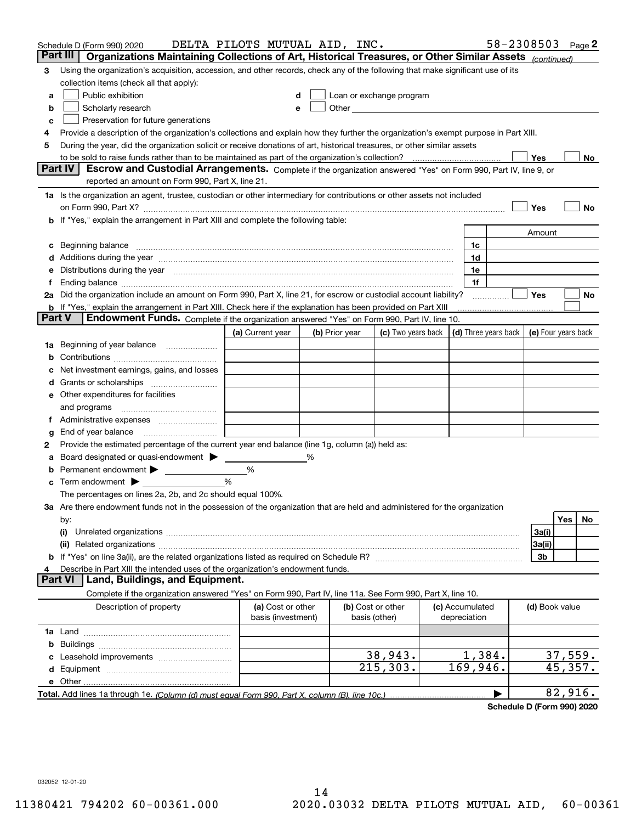|        | Schedule D (Form 990) 2020                                                                                                                                                                                                    | DELTA PILOTS MUTUAL AID, INC.           |   |                |                                                                                                                                                                                                                               |                                 | 58-2308503 |                | Page 2              |
|--------|-------------------------------------------------------------------------------------------------------------------------------------------------------------------------------------------------------------------------------|-----------------------------------------|---|----------------|-------------------------------------------------------------------------------------------------------------------------------------------------------------------------------------------------------------------------------|---------------------------------|------------|----------------|---------------------|
|        | Part III<br>Organizations Maintaining Collections of Art, Historical Treasures, or Other Similar Assets (continued)                                                                                                           |                                         |   |                |                                                                                                                                                                                                                               |                                 |            |                |                     |
| 3      | Using the organization's acquisition, accession, and other records, check any of the following that make significant use of its                                                                                               |                                         |   |                |                                                                                                                                                                                                                               |                                 |            |                |                     |
|        | collection items (check all that apply):                                                                                                                                                                                      |                                         |   |                |                                                                                                                                                                                                                               |                                 |            |                |                     |
| a      | Public exhibition                                                                                                                                                                                                             |                                         |   |                | Loan or exchange program                                                                                                                                                                                                      |                                 |            |                |                     |
| b      | Scholarly research                                                                                                                                                                                                            |                                         |   |                | Other and the contract of the contract of the contract of the contract of the contract of the contract of the contract of the contract of the contract of the contract of the contract of the contract of the contract of the |                                 |            |                |                     |
| с      | Preservation for future generations                                                                                                                                                                                           |                                         |   |                |                                                                                                                                                                                                                               |                                 |            |                |                     |
| 4      | Provide a description of the organization's collections and explain how they further the organization's exempt purpose in Part XIII.                                                                                          |                                         |   |                |                                                                                                                                                                                                                               |                                 |            |                |                     |
| 5      | During the year, did the organization solicit or receive donations of art, historical treasures, or other similar assets                                                                                                      |                                         |   |                |                                                                                                                                                                                                                               |                                 |            |                |                     |
|        | to be sold to raise funds rather than to be maintained as part of the organization's collection?                                                                                                                              |                                         |   |                |                                                                                                                                                                                                                               |                                 |            | Yes            | No                  |
|        | Escrow and Custodial Arrangements. Complete if the organization answered "Yes" on Form 990, Part IV, line 9, or<br><b>Part IV</b><br>reported an amount on Form 990, Part X, line 21.                                         |                                         |   |                |                                                                                                                                                                                                                               |                                 |            |                |                     |
|        | 1a Is the organization an agent, trustee, custodian or other intermediary for contributions or other assets not included                                                                                                      |                                         |   |                |                                                                                                                                                                                                                               |                                 |            |                |                     |
|        |                                                                                                                                                                                                                               |                                         |   |                |                                                                                                                                                                                                                               |                                 |            | Yes            | No                  |
|        | on Form 990, Part X? [11] matter contracts and contracts and contracts are contracted as a form 990, Part X?<br><b>b</b> If "Yes," explain the arrangement in Part XIII and complete the following table:                     |                                         |   |                |                                                                                                                                                                                                                               |                                 |            |                |                     |
|        |                                                                                                                                                                                                                               |                                         |   |                |                                                                                                                                                                                                                               |                                 |            | Amount         |                     |
| c      | Beginning balance <u>www.maren.communication.communication.communication.communication.com</u>                                                                                                                                |                                         |   |                |                                                                                                                                                                                                                               | 1c                              |            |                |                     |
|        | d Additions during the year manufactured and an according to Additions during the year manufactured and according the year manufactured and according the year manufactured and according the year manufactured and according |                                         |   |                |                                                                                                                                                                                                                               | 1d                              |            |                |                     |
|        | e Distributions during the year manufactured and continuum control of the control of the control of the state of the control of the control of the control of the control of the control of the control of the control of the |                                         |   |                |                                                                                                                                                                                                                               | 1e                              |            |                |                     |
|        |                                                                                                                                                                                                                               |                                         |   |                |                                                                                                                                                                                                                               | 1f                              |            |                |                     |
|        | 2a Did the organization include an amount on Form 990, Part X, line 21, for escrow or custodial account liability?                                                                                                            |                                         |   |                |                                                                                                                                                                                                                               |                                 | .          | Yes            | No                  |
|        | <b>b</b> If "Yes," explain the arrangement in Part XIII. Check here if the explanation has been provided on Part XIII                                                                                                         |                                         |   |                |                                                                                                                                                                                                                               |                                 |            |                |                     |
| Part V | Endowment Funds. Complete if the organization answered "Yes" on Form 990, Part IV, line 10.                                                                                                                                   |                                         |   |                |                                                                                                                                                                                                                               |                                 |            |                |                     |
|        |                                                                                                                                                                                                                               | (a) Current year                        |   | (b) Prior year | (c) Two years back $\vert$ (d) Three years back $\vert$                                                                                                                                                                       |                                 |            |                | (e) Four years back |
|        | 1a Beginning of year balance                                                                                                                                                                                                  |                                         |   |                |                                                                                                                                                                                                                               |                                 |            |                |                     |
| b      |                                                                                                                                                                                                                               |                                         |   |                |                                                                                                                                                                                                                               |                                 |            |                |                     |
|        | Net investment earnings, gains, and losses                                                                                                                                                                                    |                                         |   |                |                                                                                                                                                                                                                               |                                 |            |                |                     |
|        |                                                                                                                                                                                                                               |                                         |   |                |                                                                                                                                                                                                                               |                                 |            |                |                     |
|        | e Other expenditures for facilities                                                                                                                                                                                           |                                         |   |                |                                                                                                                                                                                                                               |                                 |            |                |                     |
|        |                                                                                                                                                                                                                               |                                         |   |                |                                                                                                                                                                                                                               |                                 |            |                |                     |
|        | f Administrative expenses                                                                                                                                                                                                     |                                         |   |                |                                                                                                                                                                                                                               |                                 |            |                |                     |
| g      | End of year balance <i>manually contained</i>                                                                                                                                                                                 |                                         |   |                |                                                                                                                                                                                                                               |                                 |            |                |                     |
| 2      | Provide the estimated percentage of the current year end balance (line 1g, column (a)) held as:                                                                                                                               |                                         |   |                |                                                                                                                                                                                                                               |                                 |            |                |                     |
| а      | Board designated or quasi-endowment                                                                                                                                                                                           |                                         | % |                |                                                                                                                                                                                                                               |                                 |            |                |                     |
| b      | Permanent endowment >                                                                                                                                                                                                         | %                                       |   |                |                                                                                                                                                                                                                               |                                 |            |                |                     |
|        | $\mathbf c$ Term endowment $\blacktriangleright$                                                                                                                                                                              | %                                       |   |                |                                                                                                                                                                                                                               |                                 |            |                |                     |
|        | The percentages on lines 2a, 2b, and 2c should equal 100%.                                                                                                                                                                    |                                         |   |                |                                                                                                                                                                                                                               |                                 |            |                |                     |
|        | 3a Are there endowment funds not in the possession of the organization that are held and administered for the organization                                                                                                    |                                         |   |                |                                                                                                                                                                                                                               |                                 |            |                | Yes<br>No           |
|        | by:<br>(i)                                                                                                                                                                                                                    |                                         |   |                |                                                                                                                                                                                                                               |                                 |            | 3a(i)          |                     |
|        |                                                                                                                                                                                                                               |                                         |   |                |                                                                                                                                                                                                                               |                                 |            | 3a(ii)         |                     |
|        |                                                                                                                                                                                                                               |                                         |   |                |                                                                                                                                                                                                                               |                                 |            | 3b             |                     |
|        | Describe in Part XIII the intended uses of the organization's endowment funds.                                                                                                                                                |                                         |   |                |                                                                                                                                                                                                                               |                                 |            |                |                     |
|        | Land, Buildings, and Equipment.<br>Part VI                                                                                                                                                                                    |                                         |   |                |                                                                                                                                                                                                                               |                                 |            |                |                     |
|        | Complete if the organization answered "Yes" on Form 990, Part IV, line 11a. See Form 990, Part X, line 10.                                                                                                                    |                                         |   |                |                                                                                                                                                                                                                               |                                 |            |                |                     |
|        | Description of property                                                                                                                                                                                                       | (a) Cost or other<br>basis (investment) |   |                | (b) Cost or other<br>basis (other)                                                                                                                                                                                            | (c) Accumulated<br>depreciation |            | (d) Book value |                     |
|        |                                                                                                                                                                                                                               |                                         |   |                |                                                                                                                                                                                                                               |                                 |            |                |                     |
| b      |                                                                                                                                                                                                                               |                                         |   |                |                                                                                                                                                                                                                               |                                 |            |                |                     |
|        |                                                                                                                                                                                                                               |                                         |   |                | 38,943.                                                                                                                                                                                                                       | 1,384.                          |            |                | 37,559.             |
|        |                                                                                                                                                                                                                               |                                         |   |                | 215,303.                                                                                                                                                                                                                      | 169,946.                        |            |                | 45,357.             |
|        |                                                                                                                                                                                                                               |                                         |   |                |                                                                                                                                                                                                                               |                                 |            |                |                     |
|        |                                                                                                                                                                                                                               |                                         |   |                |                                                                                                                                                                                                                               |                                 |            |                | 82,916.             |

**Schedule D (Form 990) 2020**

032052 12-01-20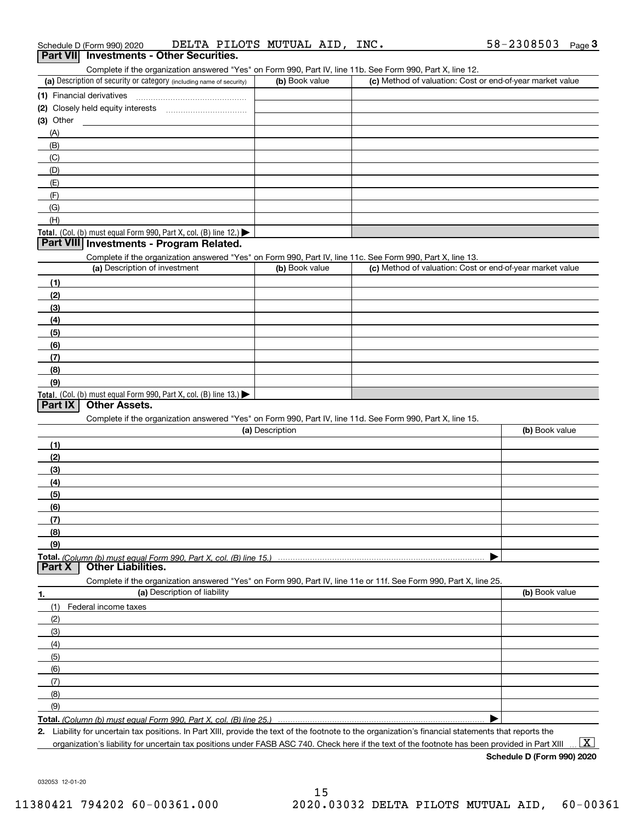| Schedule D (Form 990) 2020                      |  | DELTA PILOTS MUTUAL AID, | INC. | 58-2308503 | Page J |
|-------------------------------------------------|--|--------------------------|------|------------|--------|
| <b>Part VII</b> Investments - Other Securities. |  |                          |      |            |        |

| Part VII Investments - Other Securities. |
|------------------------------------------|
|                                          |

Complete if the organization answered "Yes" on Form 990, Part IV, line 11b. See Form 990, Part X, line 12.

| (a) Description of security or category (including name of security)                   | (b) Book value | (c) Method of valuation: Cost or end-of-year market value |
|----------------------------------------------------------------------------------------|----------------|-----------------------------------------------------------|
| (1) Financial derivatives                                                              |                |                                                           |
| (2) Closely held equity interests                                                      |                |                                                           |
| $(3)$ Other                                                                            |                |                                                           |
| (A)                                                                                    |                |                                                           |
| (B)                                                                                    |                |                                                           |
| (C)                                                                                    |                |                                                           |
| (D)                                                                                    |                |                                                           |
| (E)                                                                                    |                |                                                           |
| (F)                                                                                    |                |                                                           |
| (G)                                                                                    |                |                                                           |
| (H)                                                                                    |                |                                                           |
| Total. (Col. (b) must equal Form 990, Part X, col. (B) line 12.) $\blacktriangleright$ |                |                                                           |

### **Part VIII Investments - Program Related.**

Complete if the organization answered "Yes" on Form 990, Part IV, line 11c. See Form 990, Part X, line 13.

| (a) Description of investment                                                          | (b) Book value | (c) Method of valuation: Cost or end-of-year market value |
|----------------------------------------------------------------------------------------|----------------|-----------------------------------------------------------|
| (1)                                                                                    |                |                                                           |
| (2)                                                                                    |                |                                                           |
| $\frac{1}{2}$                                                                          |                |                                                           |
| (4)                                                                                    |                |                                                           |
| $\frac{1}{2}$                                                                          |                |                                                           |
| (6)                                                                                    |                |                                                           |
| (7)                                                                                    |                |                                                           |
| (8)                                                                                    |                |                                                           |
| (9)                                                                                    |                |                                                           |
| Total. (Col. (b) must equal Form 990, Part X, col. (B) line 13.) $\blacktriangleright$ |                |                                                           |

### **Part IX Other Assets.**

Complete if the organization answered "Yes" on Form 990, Part IV, line 11d. See Form 990, Part X, line 15.

| (a) Description                                                                                                   | (b) Book value   |
|-------------------------------------------------------------------------------------------------------------------|------------------|
| (1)                                                                                                               |                  |
| (2)                                                                                                               |                  |
| $\qquad \qquad (3)$                                                                                               |                  |
| (4)                                                                                                               |                  |
| (5)                                                                                                               |                  |
| (6)                                                                                                               |                  |
| (7)                                                                                                               |                  |
| (8)                                                                                                               |                  |
| (9)                                                                                                               |                  |
|                                                                                                                   |                  |
| Part X<br><b>Other Liabilities.</b>                                                                               |                  |
| Complete if the organization answered "Yes" on Form 990, Part IV, line 11e or 11f. See Form 990, Part X, line 25. |                  |
| (a) Deccription of liability                                                                                      | $\ln$ Rook value |

| 1.                | (a) Description of liability | (b) Book value |
|-------------------|------------------------------|----------------|
| (1)               | Federal income taxes         |                |
| (2)               |                              |                |
| (3)               |                              |                |
| (4)               |                              |                |
| (5)               |                              |                |
| (6)               |                              |                |
| $\left( 7\right)$ |                              |                |
| (8)               |                              |                |
| (9)               |                              |                |
|                   |                              |                |

*(Column (b) must equal Form 990, Part X, col. (B) line 25.)* 

**2.**Liability for uncertain tax positions. In Part XIII, provide the text of the footnote to the organization's financial statements that reports the organization's liability for uncertain tax positions under FASB ASC 740. Check here if the text of the footnote has been provided in Part XIII  $\boxed{\text{X}}$ 

**Schedule D (Form 990) 2020**

032053 12-01-20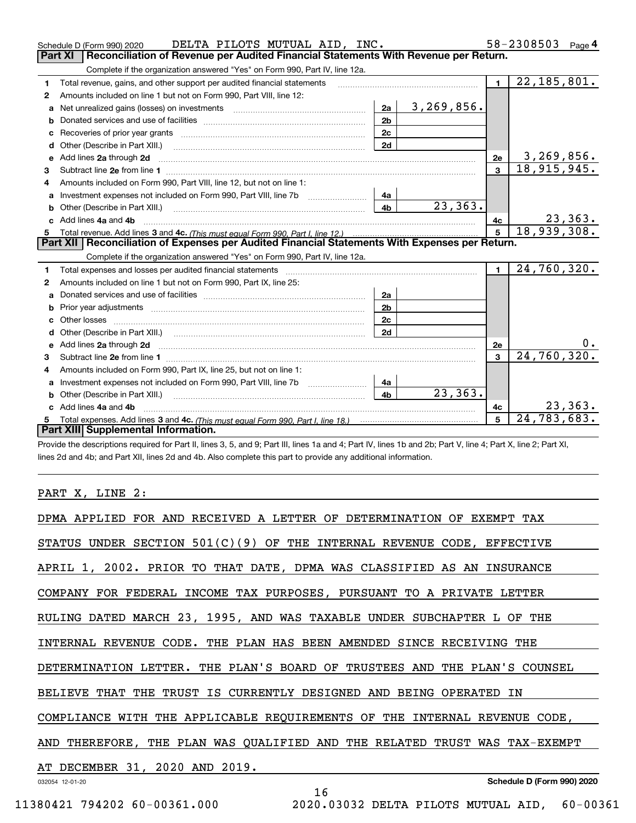|              | DELTA PILOTS MUTUAL AID, INC.<br>Schedule D (Form 990) 2020                                                                                                                                                                    |                |              |                | 58-2308503    | Page $4$  |
|--------------|--------------------------------------------------------------------------------------------------------------------------------------------------------------------------------------------------------------------------------|----------------|--------------|----------------|---------------|-----------|
|              | <b>Part XI</b><br>Reconciliation of Revenue per Audited Financial Statements With Revenue per Return.                                                                                                                          |                |              |                |               |           |
|              | Complete if the organization answered "Yes" on Form 990, Part IV, line 12a.                                                                                                                                                    |                |              |                |               |           |
| $\mathbf{1}$ | Total revenue, gains, and other support per audited financial statements                                                                                                                                                       |                |              | $\blacksquare$ | 22, 185, 801. |           |
| 2            | Amounts included on line 1 but not on Form 990, Part VIII, line 12:                                                                                                                                                            |                |              |                |               |           |
| a            |                                                                                                                                                                                                                                | 2a             | 3, 269, 856. |                |               |           |
|              |                                                                                                                                                                                                                                | 2 <sub>b</sub> |              |                |               |           |
| с            | Recoveries of prior year grants [11] matter contracts and prior year grants [11] matter contracts and prior year grants and all the contracts and all the contracts and all the contracts and all the contracts of prior year. | 2c             |              |                |               |           |
| d            | Other (Describe in Part XIII.) <b>Construction Contract Construction</b> Chern Construction Construction Construction                                                                                                          | 2d             |              |                |               |           |
| е            | Add lines 2a through 2d                                                                                                                                                                                                        |                |              | 2e             | 3,269,856.    |           |
| з            |                                                                                                                                                                                                                                |                |              | $\overline{3}$ | 18,915,945.   |           |
| 4            | Amounts included on Form 990, Part VIII, line 12, but not on line 1:                                                                                                                                                           |                |              |                |               |           |
|              |                                                                                                                                                                                                                                |                |              |                |               |           |
| b            |                                                                                                                                                                                                                                | 4 <sub>b</sub> | 23, 363.     |                |               |           |
| c.           | Add lines 4a and 4b                                                                                                                                                                                                            |                |              | 4с             |               | 23, 363.  |
|              |                                                                                                                                                                                                                                |                |              | $\overline{5}$ | 18,939,308.   |           |
|              |                                                                                                                                                                                                                                |                |              |                |               |           |
|              | Part XII   Reconciliation of Expenses per Audited Financial Statements With Expenses per Return.                                                                                                                               |                |              |                |               |           |
|              | Complete if the organization answered "Yes" on Form 990, Part IV, line 12a.                                                                                                                                                    |                |              |                |               |           |
| 1            | Total expenses and losses per audited financial statements [11, 11] matter contracts and contract and contract to the statements [11] matter contract and contract and contract and contract and contract and contract and con |                |              | $\mathbf{1}$   | 24,760,320.   |           |
| 2            | Amounts included on line 1 but not on Form 990, Part IX, line 25:                                                                                                                                                              |                |              |                |               |           |
| a            |                                                                                                                                                                                                                                | 2a             |              |                |               |           |
| b            |                                                                                                                                                                                                                                | 2 <sub>b</sub> |              |                |               |           |
| c            |                                                                                                                                                                                                                                | 2c             |              |                |               |           |
| d            | Other (Describe in Part XIII.) (2000) (2000) (2000) (2010) (2010) (2010) (2010) (2010) (2010) (2010) (2010) (20                                                                                                                | 2d             |              |                |               |           |
| е            | Add lines 2a through 2d <b>must be a constructed as the constant of the constant of the constant of the construction</b>                                                                                                       |                |              | 2e             |               | $0 \cdot$ |
| 3            |                                                                                                                                                                                                                                |                |              | $\mathbf{R}$   | 24,760,320.   |           |
| 4            | Amounts included on Form 990, Part IX, line 25, but not on line 1:                                                                                                                                                             |                |              |                |               |           |
| а            | Investment expenses not included on Form 990, Part VIII, line 7b [1000000000000000000000000000000000                                                                                                                           | 4a             |              |                |               |           |
| b            |                                                                                                                                                                                                                                | 4 <sub>b</sub> | 23, 363.     |                |               |           |
|              | Add lines 4a and 4b                                                                                                                                                                                                            |                |              | 4c             |               | 23, 363.  |
|              | Part XIII Supplemental Information.                                                                                                                                                                                            |                |              | 5              | 24, 783, 683. |           |

Provide the descriptions required for Part II, lines 3, 5, and 9; Part III, lines 1a and 4; Part IV, lines 1b and 2b; Part V, line 4; Part X, line 2; Part XI, lines 2d and 4b; and Part XII, lines 2d and 4b. Also complete this part to provide any additional information.

PART X, LINE 2: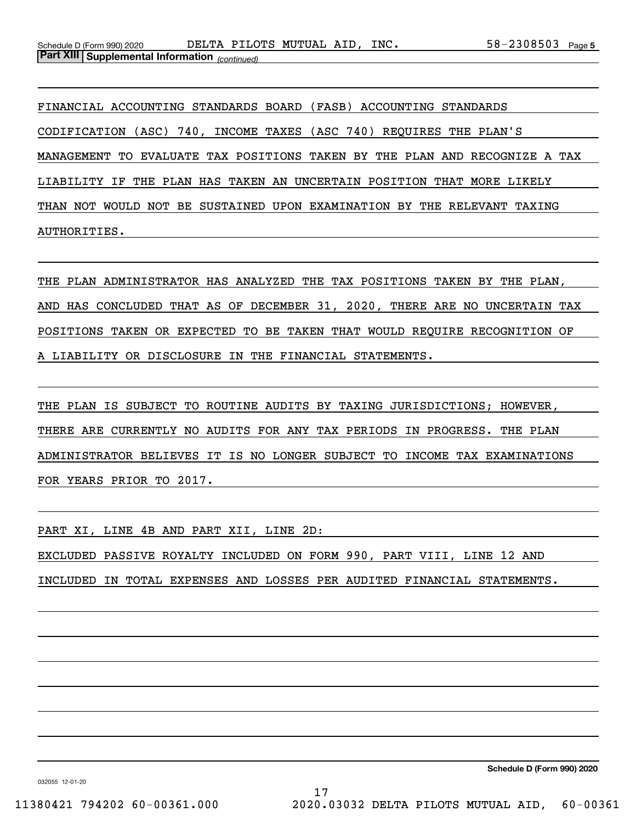FINANCIAL ACCOUNTING STANDARDS BOARD (FASB) ACCOUNTING STANDARDS CODIFICATION (ASC) 740, INCOME TAXES (ASC 740) REQUIRES THE PLAN'S MANAGEMENT TO EVALUATE TAX POSITIONS TAKEN BY THE PLAN AND RECOGNIZE A TAX LIABILITY IF THE PLAN HAS TAKEN AN UNCERTAIN POSITION THAT MORE LIKELY THAN NOT WOULD NOT BE SUSTAINED UPON EXAMINATION BY THE RELEVANT TAXING AUTHORITIES.

THE PLAN ADMINISTRATOR HAS ANALYZED THE TAX POSITIONS TAKEN BY THE PLAN, AND HAS CONCLUDED THAT AS OF DECEMBER 31, 2020, THERE ARE NO UNCERTAIN TAX POSITIONS TAKEN OR EXPECTED TO BE TAKEN THAT WOULD REQUIRE RECOGNITION OF A LIABILITY OR DISCLOSURE IN THE FINANCIAL STATEMENTS.

THE PLAN IS SUBJECT TO ROUTINE AUDITS BY TAXING JURISDICTIONS; HOWEVER, THERE ARE CURRENTLY NO AUDITS FOR ANY TAX PERIODS IN PROGRESS. THE PLAN ADMINISTRATOR BELIEVES IT IS NO LONGER SUBJECT TO INCOME TAX EXAMINATIONS FOR YEARS PRIOR TO 2017.

PART XI, LINE 4B AND PART XII, LINE 2D: EXCLUDED PASSIVE ROYALTY INCLUDED ON FORM 990, PART VIII, LINE 12 AND INCLUDED IN TOTAL EXPENSES AND LOSSES PER AUDITED FINANCIAL STATEMENTS.

**Schedule D (Form 990) 2020**

032055 12-01-20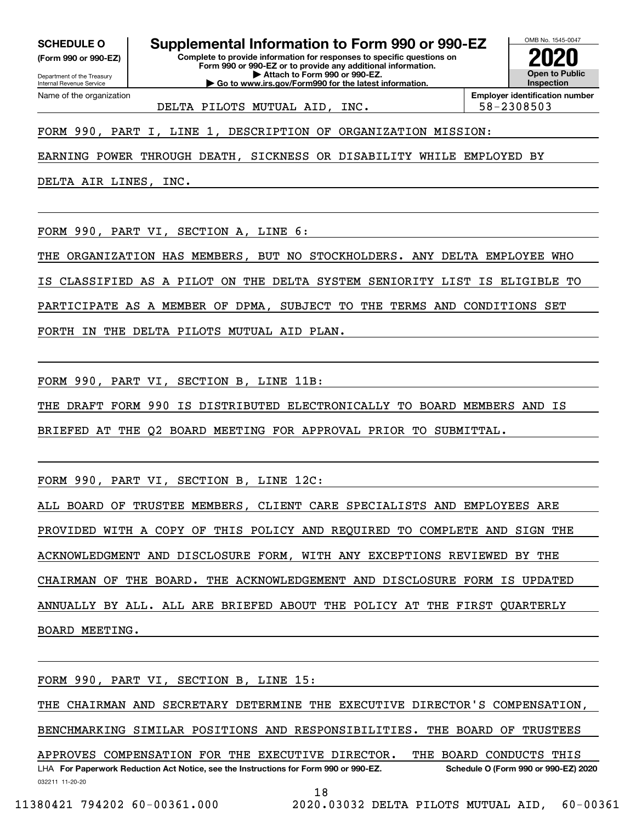**(Form 990 or 990-EZ)**

Department of the Treasury Internal Revenue Service Name of the organization

**Complete to provide information for responses to specific questions on Form 990 or 990-EZ or to provide any additional information. | Attach to Form 990 or 990-EZ. | Go to www.irs.gov/Form990 for the latest information. SCHEDULE O Supplemental Information to Form 990 or 990-EZ**



DELTA PILOTS MUTUAL AID, INC. 58-2308503

FORM 990, PART I, LINE 1, DESCRIPTION OF ORGANIZATION MISSION:

EARNING POWER THROUGH DEATH, SICKNESS OR DISABILITY WHILE EMPLOYED BY

DELTA AIR LINES, INC.

FORM 990, PART VI, SECTION A, LINE 6:

THE ORGANIZATION HAS MEMBERS, BUT NO STOCKHOLDERS. ANY DELTA EMPLOYEE WHO

IS CLASSIFIED AS A PILOT ON THE DELTA SYSTEM SENIORITY LIST IS ELIGIBLE TO

PARTICIPATE AS A MEMBER OF DPMA, SUBJECT TO THE TERMS AND CONDITIONS SET

FORTH IN THE DELTA PILOTS MUTUAL AID PLAN.

FORM 990, PART VI, SECTION B, LINE 11B:

THE DRAFT FORM 990 IS DISTRIBUTED ELECTRONICALLY TO BOARD MEMBERS AND IS

BRIEFED AT THE Q2 BOARD MEETING FOR APPROVAL PRIOR TO SUBMITTAL.

FORM 990, PART VI, SECTION B, LINE 12C:

ALL BOARD OF TRUSTEE MEMBERS, CLIENT CARE SPECIALISTS AND EMPLOYEES ARE

PROVIDED WITH A COPY OF THIS POLICY AND REQUIRED TO COMPLETE AND SIGN THE

ACKNOWLEDGMENT AND DISCLOSURE FORM, WITH ANY EXCEPTIONS REVIEWED BY THE

CHAIRMAN OF THE BOARD. THE ACKNOWLEDGEMENT AND DISCLOSURE FORM IS UPDATED

ANNUALLY BY ALL. ALL ARE BRIEFED ABOUT THE POLICY AT THE FIRST QUARTERLY BOARD MEETING.

FORM 990, PART VI, SECTION B, LINE 15:

THE CHAIRMAN AND SECRETARY DETERMINE THE EXECUTIVE DIRECTOR'S COMPENSATION,

BENCHMARKING SIMILAR POSITIONS AND RESPONSIBILITIES. THE BOARD OF TRUSTEES

032211 11-20-20 LHA For Paperwork Reduction Act Notice, see the Instructions for Form 990 or 990-EZ. Schedule O (Form 990 or 990-EZ) 2020 APPROVES COMPENSATION FOR THE EXECUTIVE DIRECTOR. THE BOARD CONDUCTS THIS

18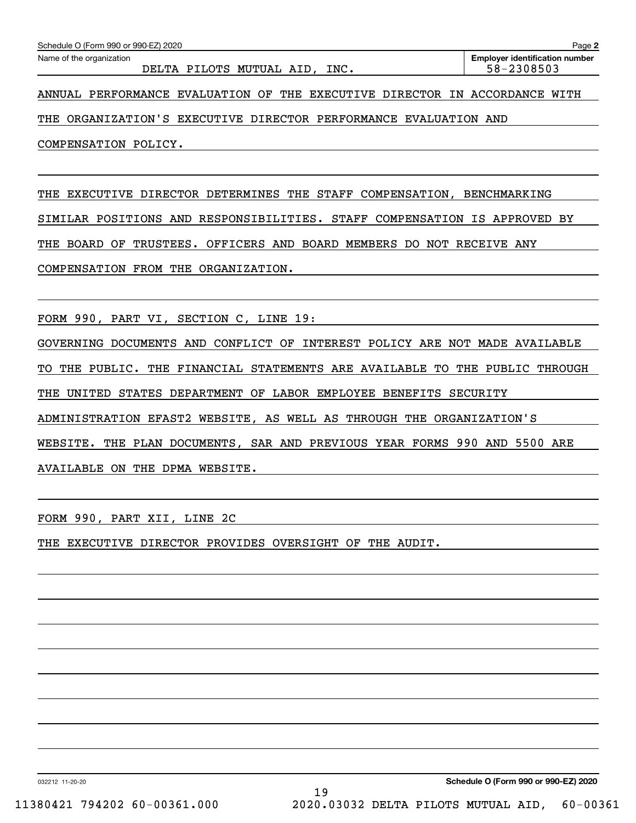DELTA PILOTS MUTUAL AID, INC. 58-2308503

ANNUAL PERFORMANCE EVALUATION OF THE EXECUTIVE DIRECTOR IN ACCORDANCE WITH

THE ORGANIZATION'S EXECUTIVE DIRECTOR PERFORMANCE EVALUATION AND

COMPENSATION POLICY.

THE EXECUTIVE DIRECTOR DETERMINES THE STAFF COMPENSATION, BENCHMARKING SIMILAR POSITIONS AND RESPONSIBILITIES. STAFF COMPENSATION IS APPROVED BY THE BOARD OF TRUSTEES. OFFICERS AND BOARD MEMBERS DO NOT RECEIVE ANY COMPENSATION FROM THE ORGANIZATION.

FORM 990, PART VI, SECTION C, LINE 19:

GOVERNING DOCUMENTS AND CONFLICT OF INTEREST POLICY ARE NOT MADE AVAILABLE TO THE PUBLIC. THE FINANCIAL STATEMENTS ARE AVAILABLE TO THE PUBLIC THROUGH THE UNITED STATES DEPARTMENT OF LABOR EMPLOYEE BENEFITS SECURITY ADMINISTRATION EFAST2 WEBSITE, AS WELL AS THROUGH THE ORGANIZATION'S WEBSITE. THE PLAN DOCUMENTS, SAR AND PREVIOUS YEAR FORMS 990 AND 5500 ARE AVAILABLE ON THE DPMA WEBSITE.

FORM 990, PART XII, LINE 2C

THE EXECUTIVE DIRECTOR PROVIDES OVERSIGHT OF THE AUDIT.

032212 11-20-20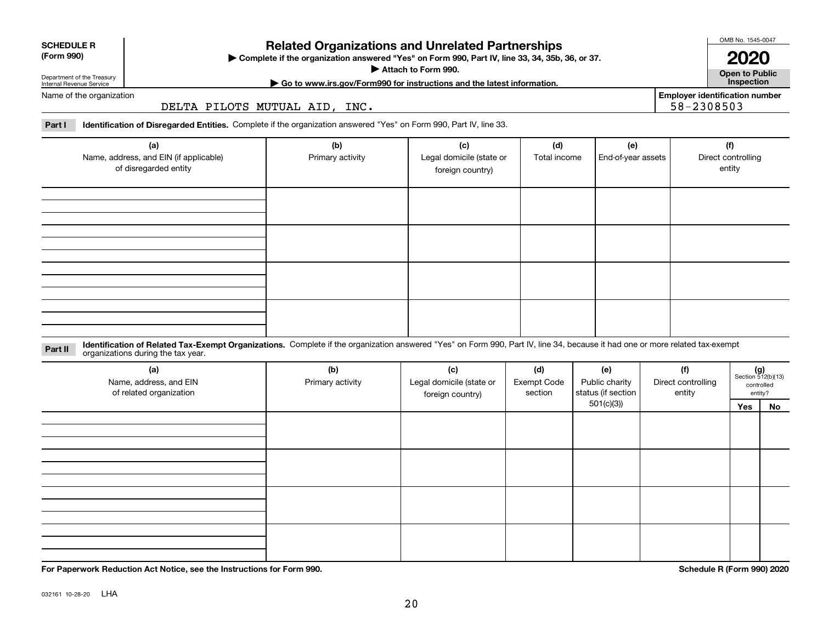**For Paperwork Reduction Act Notice, see the Instructions for Form 990. Schedule R (Form 990) 2020**

# **Related Organizations and Unrelated Partnerships**

**Complete if the organization answered "Yes" on Form 990, Part IV, line 33, 34, 35b, 36, or 37.** |

**Employer identification number**

**Part I Identification of Disregarded Entities.**  Complete if the organization answered "Yes" on Form 990, Part IV, line 33.

DELTA PILOTS MUTUAL AID, INC.

| (a)<br>Name, address, and EIN (if applicable)<br>of disregarded entity                                                                                                                                                         | (b)<br>Primary activity | (c)<br>Legal domicile (state or<br>foreign country) | (d)<br>Total income | (e)<br>End-of-year assets | (f)<br>Direct controlling<br>entity |
|--------------------------------------------------------------------------------------------------------------------------------------------------------------------------------------------------------------------------------|-------------------------|-----------------------------------------------------|---------------------|---------------------------|-------------------------------------|
|                                                                                                                                                                                                                                |                         |                                                     |                     |                           |                                     |
|                                                                                                                                                                                                                                |                         |                                                     |                     |                           |                                     |
|                                                                                                                                                                                                                                |                         |                                                     |                     |                           |                                     |
| LIGHBORD OF BULLET FOR ACCOUNT AND CONTRACT MATERIAL CONTRACT OF THE AND RESIDENT BY ATTEINMENT AND RELEASED ON A STREET AND ALL AND CONTRACT AND ACCOUNT ON A STREET AND A STREET AND A STREET AND RELEASED AND RELEASED ON A |                         |                                                     |                     |                           |                                     |

**Identification of Related Tax-Exempt Organizations.** Complete if the organization answered "Yes" on Form 990, Part IV, line 34, because it had one or more related tax-exempt **Part II** organizations during the tax year.

| sigameations admig the tax year.                         |                         |                                                     |                                      |                                             |                                     |                             |                       |
|----------------------------------------------------------|-------------------------|-----------------------------------------------------|--------------------------------------|---------------------------------------------|-------------------------------------|-----------------------------|-----------------------|
| (a)<br>Name, address, and EIN<br>of related organization | (b)<br>Primary activity | (c)<br>Legal domicile (state or<br>foreign country) | (d)<br><b>Exempt Code</b><br>section | (e)<br>Public charity<br>status (if section | (f)<br>Direct controlling<br>entity | $(g)$<br>Section 512(b)(13) | controlled<br>entity? |
|                                                          |                         |                                                     | 501(c)(3)                            |                                             |                                     | Yes                         | No                    |
|                                                          |                         |                                                     |                                      |                                             |                                     |                             |                       |
|                                                          |                         |                                                     |                                      |                                             |                                     |                             |                       |
|                                                          |                         |                                                     |                                      |                                             |                                     |                             |                       |
|                                                          |                         |                                                     |                                      |                                             |                                     |                             |                       |
|                                                          |                         |                                                     |                                      |                                             |                                     |                             |                       |
|                                                          |                         |                                                     |                                      |                                             |                                     |                             |                       |
|                                                          |                         |                                                     |                                      |                                             |                                     |                             |                       |
|                                                          |                         |                                                     |                                      |                                             |                                     |                             |                       |
|                                                          |                         |                                                     |                                      |                                             |                                     |                             |                       |
|                                                          |                         |                                                     |                                      |                                             |                                     |                             |                       |

**Attach to Form 990.**  |

**SCHEDULE R**

Department of the Treasury Internal Revenue Service

Name of the organization



**Open to Public | Go to www.irs.gov/Form990 for instructions and the latest information. Inspection 2020**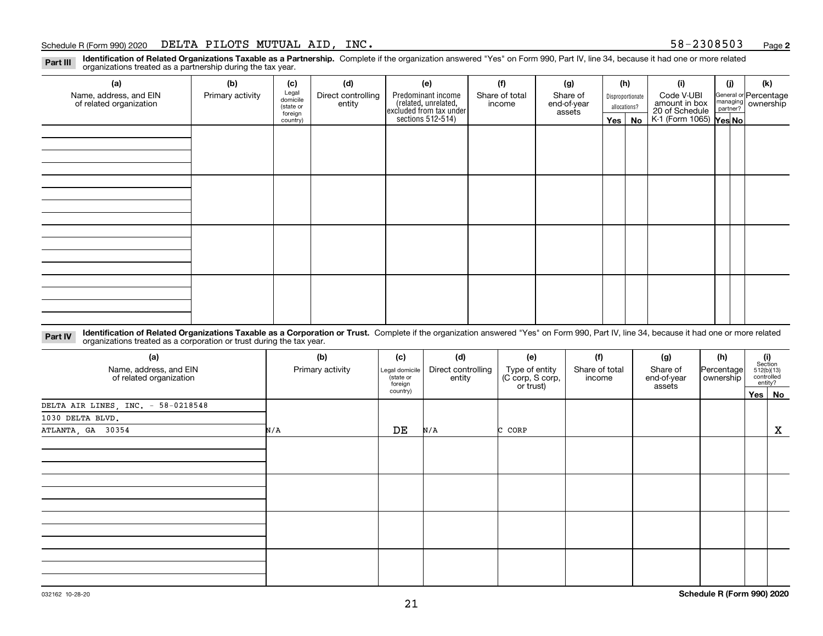#### Schedule R (Form 990) 2020 Page DELTA PILOTS MUTUAL AID, INC. 58-2308503

**2**

**Identification of Related Organizations Taxable as a Partnership.** Complete if the organization answered "Yes" on Form 990, Part IV, line 34, because it had one or more related **Part III** organizations treated as a partnership during the tax year.

| (a)                                               | (b)              | (c)                  | (d)                                                                                                                                                                                                                            | (e) | (f) | (g) |         | (h) | (i)                                      | (j) | (k)                                                       |  |  |  |  |
|---------------------------------------------------|------------------|----------------------|--------------------------------------------------------------------------------------------------------------------------------------------------------------------------------------------------------------------------------|-----|-----|-----|---------|-----|------------------------------------------|-----|-----------------------------------------------------------|--|--|--|--|
| Name, address, and EIN<br>of related organization | Primary activity | Legal<br>domicile    | Predominant income<br>Direct controlling<br>Share of total<br>Share of<br>Disproportionate<br>related, unrelated,<br>excluded from tax under<br>sections 512-514)<br>end-of-year<br>entity<br>income<br>allocations?<br>assets |     |     |     |         |     | Code V-UBI<br>amount in box              |     | General or Percentage<br>managing<br>partner?<br>partner? |  |  |  |  |
|                                                   |                  | (state or<br>foreign |                                                                                                                                                                                                                                |     |     |     |         |     |                                          |     |                                                           |  |  |  |  |
|                                                   |                  | country)             |                                                                                                                                                                                                                                |     |     |     | Yes $ $ | No  | 20 of Schedule<br>K-1 (Form 1065) Yes No |     |                                                           |  |  |  |  |
|                                                   |                  |                      |                                                                                                                                                                                                                                |     |     |     |         |     |                                          |     |                                                           |  |  |  |  |
|                                                   |                  |                      |                                                                                                                                                                                                                                |     |     |     |         |     |                                          |     |                                                           |  |  |  |  |
|                                                   |                  |                      |                                                                                                                                                                                                                                |     |     |     |         |     |                                          |     |                                                           |  |  |  |  |
|                                                   |                  |                      |                                                                                                                                                                                                                                |     |     |     |         |     |                                          |     |                                                           |  |  |  |  |
|                                                   |                  |                      |                                                                                                                                                                                                                                |     |     |     |         |     |                                          |     |                                                           |  |  |  |  |
|                                                   |                  |                      |                                                                                                                                                                                                                                |     |     |     |         |     |                                          |     |                                                           |  |  |  |  |
|                                                   |                  |                      |                                                                                                                                                                                                                                |     |     |     |         |     |                                          |     |                                                           |  |  |  |  |
|                                                   |                  |                      |                                                                                                                                                                                                                                |     |     |     |         |     |                                          |     |                                                           |  |  |  |  |
|                                                   |                  |                      |                                                                                                                                                                                                                                |     |     |     |         |     |                                          |     |                                                           |  |  |  |  |
|                                                   |                  |                      |                                                                                                                                                                                                                                |     |     |     |         |     |                                          |     |                                                           |  |  |  |  |
|                                                   |                  |                      |                                                                                                                                                                                                                                |     |     |     |         |     |                                          |     |                                                           |  |  |  |  |
|                                                   |                  |                      |                                                                                                                                                                                                                                |     |     |     |         |     |                                          |     |                                                           |  |  |  |  |
|                                                   |                  |                      |                                                                                                                                                                                                                                |     |     |     |         |     |                                          |     |                                                           |  |  |  |  |
|                                                   |                  |                      |                                                                                                                                                                                                                                |     |     |     |         |     |                                          |     |                                                           |  |  |  |  |
|                                                   |                  |                      |                                                                                                                                                                                                                                |     |     |     |         |     |                                          |     |                                                           |  |  |  |  |
|                                                   |                  |                      |                                                                                                                                                                                                                                |     |     |     |         |     |                                          |     |                                                           |  |  |  |  |
|                                                   |                  |                      |                                                                                                                                                                                                                                |     |     |     |         |     |                                          |     |                                                           |  |  |  |  |

**Identification of Related Organizations Taxable as a Corporation or Trust.** Complete if the organization answered "Yes" on Form 990, Part IV, line 34, because it had one or more related **Part IV** organizations treated as a corporation or trust during the tax year.

| (a)<br>Name, address, and EIN<br>of related organization | (b)<br>Primary activity | (c)<br>Legal domicile<br>(state or<br>foreign | (d)<br>Direct controlling<br>entity | (e)<br>Type of entity<br>(C corp, S corp,<br>or trust) | (f)<br>Share of total<br>income | (g)<br>Share of<br>end-of-year | (h)<br>Percentage<br>ownership | $\begin{array}{c} \textbf{(i)}\\ \text{Section}\\ 512 \text{(b)} \text{(13)}\\ \text{controlled}\end{array}$<br>entity? |
|----------------------------------------------------------|-------------------------|-----------------------------------------------|-------------------------------------|--------------------------------------------------------|---------------------------------|--------------------------------|--------------------------------|-------------------------------------------------------------------------------------------------------------------------|
|                                                          |                         | country)                                      |                                     |                                                        |                                 | assets                         |                                | Yes   No                                                                                                                |
| DELTA AIR LINES, INC. - 58-0218548                       |                         |                                               |                                     |                                                        |                                 |                                |                                |                                                                                                                         |
| 1030 DELTA BLVD.                                         |                         |                                               |                                     |                                                        |                                 |                                |                                |                                                                                                                         |
| ATLANTA, GA 30354                                        | N/A                     | DE                                            | N/A                                 | C CORP                                                 |                                 |                                |                                | X                                                                                                                       |
|                                                          |                         |                                               |                                     |                                                        |                                 |                                |                                |                                                                                                                         |
|                                                          |                         |                                               |                                     |                                                        |                                 |                                |                                |                                                                                                                         |
|                                                          |                         |                                               |                                     |                                                        |                                 |                                |                                |                                                                                                                         |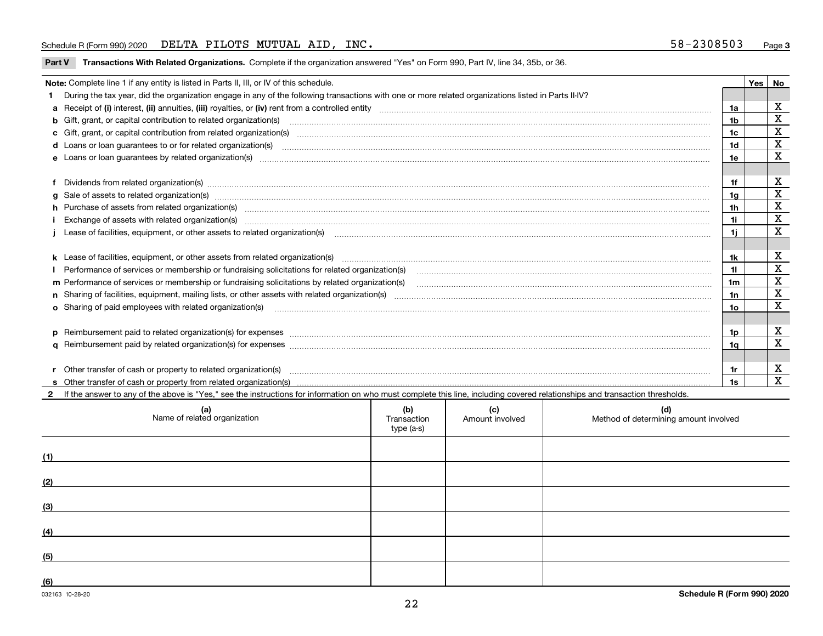### Schedule R (Form 990) 2020 Page DELTA PILOTS MUTUAL AID, INC. 58-2308503

**Part V** T**ransactions With Related Organizations.** Complete if the organization answered "Yes" on Form 990, Part IV, line 34, 35b, or 36.

| Note: Complete line 1 if any entity is listed in Parts II, III, or IV of this schedule.                                                                                                                                           |                | Yes | No          |
|-----------------------------------------------------------------------------------------------------------------------------------------------------------------------------------------------------------------------------------|----------------|-----|-------------|
| 1 During the tax year, did the organization engage in any of the following transactions with one or more related organizations listed in Parts II-IV?                                                                             |                |     |             |
|                                                                                                                                                                                                                                   | 1a             |     | х           |
| b Gift, grant, or capital contribution to related organization(s) manufactured content and contribution to related organization(s)                                                                                                | 1b             |     | X           |
| c Gift, grant, or capital contribution from related organization(s) manufaction contribution from related organization(s) manufaction contribution from related organization(s) manufaction contribution from related organiza    | 1c             |     | X           |
| d Loans or loan guarantees to or for related organization(s) committion contracts are constructed as a control or contract or contract or contract or contract or contract or contract or contract or contract or contract or     | 1 <sub>d</sub> |     | $\mathbf X$ |
|                                                                                                                                                                                                                                   | 1e             |     | X           |
|                                                                                                                                                                                                                                   |                |     |             |
| f Dividends from related organization(s) material contents and content and content of the content of the content of the content of the content of the content of the content of the content of the content of the content of t    | 1f             |     | х           |
| g Sale of assets to related organization(s) www.communicallycommunicallycommunicallycommunicallycommunicallycommunicallycommunicallycommunicallycommunicallycommunicallycommunicallycommunicallycommunicallycommunicallycommun    | 1a             |     | X           |
| h Purchase of assets from related organization(s) manufactured and content to content the content of assets from related organization(s)                                                                                          | 1h             |     | х           |
| Exchange of assets with related organization(s) www.communically.communically contract the contract of assets with related organization(s) www.communically.communically contract the contract of assets with related organiza    | 1i.            |     | X           |
| Lease of facilities, equipment, or other assets to related organization(s) Chromomeron content in the set of facilities, equipment, or other assets to related organization(s) Chromomeron content in the set of the set of th    | 1i.            |     | $\mathbf X$ |
|                                                                                                                                                                                                                                   |                |     |             |
|                                                                                                                                                                                                                                   | 1k             |     | X           |
|                                                                                                                                                                                                                                   |                |     | X           |
| m Performance of services or membership or fundraising solicitations by related organization(s)                                                                                                                                   | 1m             |     | $\mathbf X$ |
|                                                                                                                                                                                                                                   | 1n             |     | $\mathbf X$ |
| <b>o</b> Sharing of paid employees with related organization(s)                                                                                                                                                                   | 1о             |     | X           |
|                                                                                                                                                                                                                                   |                |     |             |
|                                                                                                                                                                                                                                   | 1p.            |     | X           |
|                                                                                                                                                                                                                                   | 1q             |     | X           |
|                                                                                                                                                                                                                                   |                |     |             |
| r Other transfer of cash or property to related organization(s)                                                                                                                                                                   | 1r             |     | X           |
| r Other transfer of cash or property to related organization(s) www.community.com/www.community.com/www.communi<br>S Other transfer of cash or property from related organization(s) www.community.community.community.community. | 1s             |     | X           |
| 2 If the answer to any of the above is "Yes." see the instructions for information on who must complete this line, including covered relationships and transaction thresholds.                                                    |                |     |             |

| (a)<br>Name of related organization | (b)<br>Transaction<br>type (a-s) | (c)<br>Amount involved | (d)<br>Method of determining amount involved |
|-------------------------------------|----------------------------------|------------------------|----------------------------------------------|
| (1)                                 |                                  |                        |                                              |
| (2)                                 |                                  |                        |                                              |
| (3)                                 |                                  |                        |                                              |
| (4)                                 |                                  |                        |                                              |
| (5)                                 |                                  |                        |                                              |
| (6)                                 |                                  |                        |                                              |

 $\overline{\phantom{a}}$